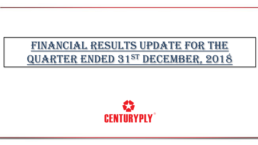# FINANCIAL RESULTS UPDATE FOR THE Quarter ended 31st DECEMBER, 2018

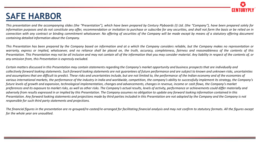

## **SAFE HARBOR**

This presentation and the accompanying slides (the "Presentation"), which have been prepared by Century Plyboards (I) Ltd. (the "Company"), have been prepared solely for information purposes and do not constitute any offer, recommendation or invitation to purchase or subscribe for any securities, and shall not form the basis or be relied on in connection with any contract or binding commitment whatsoever. No offering of securities of the Company will be made except by means of a statutory offering document *containing detailed information about the Company.*

This Presentation has been prepared by the Company based on information and at a which the Company considers reliable, but the Company makes no representation or warranty, express or implied, whatsoever, and no reliance shall be placed on, the truth, accuracy, completeness, fairness and reasonableness of the contents of this Presentation. This Presentation may not be all inclusive and may not contain all of the information that you may consider material. Any liability in respect of the contents of, or *any omission from, this Presentation is expressly excluded.*

*Certain matters discussed in this Presentation may contain statements regarding the Company's market opportunity and business prospects that are individually and collectively forward looking statements. Such forward looking statements are not guarantees of future performance and are subject to known and unknown risks, uncertainties and assumptions that are difficult to predict. These risks and uncertainties include, but are not limited to, the performance of the Indian economy and of the economies of*  various international markets, the performance of the industry in India and worldwide, competition, the company's ability to successfully implement its strategy, the Company's *future levels of growth and expansion, technological implementation, changes and advancements, changes in revenue, income or cash flows, the Company's market*  preferences and its exposure to market risks, as well as other risks. The Company's actual results, levels of activity, performance or achievements could differ materially and *adversely from results expressed in or implied by this Presentation. The Company assumes no obligation to update any forward looking information contained in this Presentation. Any forward looking statements and projections made by third parties included in this Presentation are not adopted by the Company and the Company is not responsible for such third party statements and projections.*

The financial figures in the presentation are re-grouped/re-casted/re-arranged for facilitating financial analysis and may not confirm to statutory formats. All the figures except *for the whole year are unaudited.*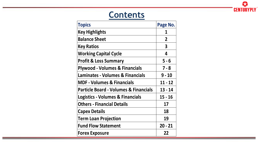

# **Contents**

| <b>Topics</b>                                    | Page No.                |
|--------------------------------------------------|-------------------------|
| <b>Key Highlights</b>                            |                         |
| <b>Balance Sheet</b>                             | $\overline{2}$          |
| <b>Key Ratios</b>                                | $\overline{\mathbf{3}}$ |
| <b>Working Capital Cycle</b>                     | 4                       |
| <b>Profit &amp; Loss Summary</b>                 | $5 - 6$                 |
| <b>Plywood - Volumes &amp; Financials</b>        | $7 - 8$                 |
| <b>Laminates - Volumes &amp; Financials</b>      | $9 - 10$                |
| <b>MDF - Volumes &amp; Financials</b>            | $11 - 12$               |
| <b>Particle Board - Volumes &amp; Financials</b> | 13 - 14                 |
| <b>Logistics - Volumes &amp; Financials</b>      | $15 - 16$               |
| <b>Others - Financial Details</b>                | 17                      |
| <b>Capex Details</b>                             | 18                      |
| <b>Term Loan Projection</b>                      | 19                      |
| <b>Fund Flow Statement</b>                       | $20 - 21$               |
| <b>Forex Exposure</b>                            | 22                      |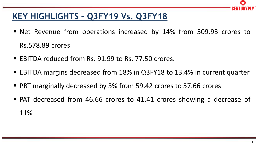

### **KEY HIGHLIGHTS – Q3FY19 Vs. Q3FY18**

- Net Revenue from operations increased by 14% from 509.93 crores to Rs.578.89 crores
- EBITDA reduced from Rs. 91.99 to Rs. 77.50 crores.
- EBITDA margins decreased from 18% in Q3FY18 to 13.4% in current quarter
- PBT marginally decreased by 3% from 59.42 crores to 57.66 crores
- PAT decreased from 46.66 crores to 41.41 crores showing a decrease of 11%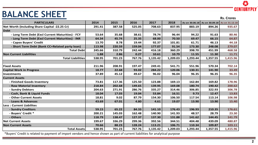#### **BALANCE SHEET**

| <b>PARTICULARS</b>                               | 2014   | 2015   | 2016   | 2017     | 2018     | As on 30.06.18 | As on 30.09.18 As on 31.12.18 |          |
|--------------------------------------------------|--------|--------|--------|----------|----------|----------------|-------------------------------|----------|
| Net Worth (Including Share Capital -22.25 Cr)    | 291.41 | 387.58 | 525.05 | 708.63   | 837.95   | 883.19         | 894.26                        | 935.67   |
| <b>Debt</b>                                      |        |        |        |          |          |                |                               |          |
| - Long Term Debt (Excl Current Maturities) - FCY | 53.64  | 35.68  | 38.61  | 78.74    | 96.44    | 94.22          | 91.63                         | 80.46    |
| - Long Term Debt (Excl Current Maturities) - INR | 64.34  | 45.74  | 25.35  | 68.00    | 70.50    | 69.47          | 66.15                         | 64.87    |
| - Capex Buyers' Credit                           | 13.70  | 8.78   | 19.44  | 92.37    | 101.81   | 61.71          | 46.13                         | 44.18    |
| - Short Term Debt (Bank CC+Related party loan)   | 113.98 | 220.59 | 159.04 | 177.07   | 91.54    | 173.30         | 248.08                        | 279.07   |
| <b>Total Debt</b>                                | 245.66 | 310.79 | 242.44 | 416.18   | 360.29   | 398.70         | 451.99                        | 468.58   |
| <b>Non Current Liabilities</b>                   | 1.88   | 2.86   | 0.27   | 10.61    | 10.79    | 11.55          | 11.30                         | 11.71    |
| <b>Total Liabilities</b>                         | 538.95 | 701.23 | 767.76 | 1,135.42 | 1,209.03 | 1,293.44       | 1,357.55                      | 1,415.96 |
|                                                  |        |        |        |          |          |                |                               |          |
| <b>Fixed Assets</b>                              | 211.96 | 208.91 | 197.47 | 249.41   | 541.71   | 551.96         | 570.34                        | 702.14   |
| <b>Capital Work in Progress</b>                  | 18.77  | 22.68  | 93.02  | 284.22   | 120.06   | 130.31         | 141.90                        | 33.49    |
| <b>Investments</b>                               | 37.89  | 45.12  | 49.67  | 96.02    | 96.04    | 96.35          | 96.35                         | 96.35    |
| <b>Current Assets</b>                            |        |        |        |          |          |                |                               |          |
| - Finished Goods Inventory                       | 73.81  | 117.36 | 125.50 | 123.88   | 169.13   | 162.84         | 169.82                        | 178.96   |
| - Raw Material Inventory                         | 218.84 | 202.68 | 149.65 | 139.95   | 169.08   | 180.74         | 190.42                        | 200.62   |
| - Sundry Debtors                                 | 204.63 | 271.91 | 286.76 | 335.27   | 314.46   | 306.85         | 322.93                        | 306.78   |
| - Cash, Bank & Liquid Funds                      | 18.04  | 17.03  | 19.04  | 53.84    | 16.51    | 9.73           | 12.47                         | 13.83    |
| - Other Current Assets                           | 18.81  | 9.02   | 87.79  | 154.30   | 106.50   | 117.54         | 113.14                        | 106.98   |
| - Loans & Advances                               | 43.69  | 67.01  | 4.80   | 4.61     | 19.07    | 13.90          | 13.90                         | 15.40    |
| <b>Less: Current Liabilites</b>                  |        |        |        |          |          |                |                               |          |
| - Sundry Creditors                               | 59.15  | 65.22  | 84.33  | 141.10   | 176.43   | 196.93         | 210.35                        | 176.61   |
| - Buyers' Credit *                               | 200.21 | 145.03 | 162.48 | 140.90   | 141.93   | 48.57          | 28.79                         | 23.30    |
| - Others                                         | 118.79 | 138.47 | 127.37 | 137.30   | 131.88   | 141.62         | 144.45                        | 141.79   |
| <b>Net Current Assets</b>                        | 199.67 | 336.29 | 299.36 | 392.56   | 344.51   | 404.48         | 439.09                        | 480.87   |
| <b>Non Current Assets</b>                        | 70.66  | 88.23  | 128.24 | 113.21   | 106.71   | 110.34         | 109.87                        | 103.11   |
| <b>Total Assets</b>                              | 538.95 | 701.23 | 767.76 | 1,135.42 | 1,209.03 | 1,293.44       | 1,357.55                      | 1,415.96 |

\*Buyers' Credit is related to payment of import vendors and hence shown as part of current liabilities for analytical purpose

23 **CENTURYPLY** 

**Rs. Crores**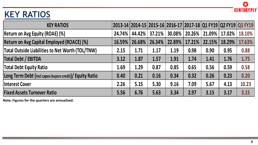

# **KEY RATIOS**

| <b>KEY RATIOS</b>                                       |        |        |        |      |                 |                             | 2013-14 2014-15 2015-16 2016-17 2017-18 Q1 FY19 Q2 FY19 Q3 FY19 |                 |
|---------------------------------------------------------|--------|--------|--------|------|-----------------|-----------------------------|-----------------------------------------------------------------|-----------------|
| <b>Return on Avg Equity (ROAE) (%)</b>                  | 24.74% | 44.42% | 37.21% |      |                 | $30.08\%$   20.26%   21.09% |                                                                 | 17.02%   18.10% |
| <b>Return on Avg Capital Employed (ROACE) (%)</b>       | 16.59% | 26.68% | 26.34% |      | 22.89%   17.21% | 22.15%                      | 18.29%                                                          | 17.63%          |
| <b>Total Outside Liabilities to Net Worth (TOL/TNW)</b> | 2.15   | 1.71   | 1.17   | 1.19 | 0.98            | 0.90                        | 0.95                                                            | 0.88            |
| <b>Total Debt / EBITDA</b>                              | 3.12   | 1.87   | 1.57   | 1.91 | 1.74            | 1.41                        | 1.76                                                            | 1.75            |
| Total Debt Equity Ratio                                 | 1.69   | 1.29   | 0.87   | 0.85 | 0.65            | 0.56                        | 0.59                                                            | 0.58            |
| Long Term Debt (Incl capex buyers credit)/ Equity Ratio | 0.40   | 0.21   | 0.16   | 0.34 | 0.32            | 0.26                        | 0.23                                                            | 0.20            |
| Interest Cover                                          | 2.26   | 5.15   | 5.30   | 9.16 | 7.09            | 5.67                        | 4.13                                                            | 10.23           |
| <b>Fixed Assets Turnover Ratio</b>                      | 5.56   | 6.76   | 5.63   | 3.34 | 2.97            | 3.15                        | 3.17                                                            | 3.15            |

**Note: Figures for the quarters are annualized.**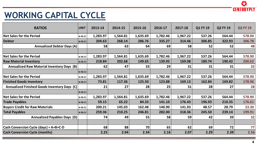

## **WORKING CAPITAL CYCLE**

| <b>WORKING CAPITAL CYCLE</b>                        |             |          |          |          |          |          |          |          | ULITIUILII LI |
|-----------------------------------------------------|-------------|----------|----------|----------|----------|----------|----------|----------|---------------|
| <b>RATIOS</b>                                       | <b>UNIT</b> | 2013-14  | 2014-15  | 2015-16  | 2016-17  | 2017-18  | Q1 FY 19 | Q2 FY 19 | Q3 FY 19      |
| <b>Net Sales for the Period</b>                     | In Rs Cr    | 1,283.97 | 1,564.81 | 1,635.69 | 1,782.46 | 1,967.22 | 537.26   | 564.44   | 578.90        |
| <b>Debtor</b>                                       | In Rs Cr    | 204.63   | 268.14   | 286.76   | 335.27   | 314.46   | 306.85   | 322.93   | 306.78        |
| <b>Annualized Debtor Days (A)</b>                   |             | 58       | 63       | 64       | 69       | 58       | 52       | 52       | 48            |
| <b>Net Sales for the Period</b>                     | In Rs Cr    | 1,283.97 | 1,564.81 | 1,635.69 | 1,782.46 | 1,967.22 | 537.26   | 564.44   | 578.90        |
| <b>Raw Material Inventory</b>                       | In Rs Cr    | 218.84   | 202.68   | 149.65   | 139.95   | 169.08   | 180.74   | 190.42   | 200.62        |
| <b>Annualized Raw Material Inventory Days (B)</b>   |             | 62       | 47       | 33       | 29       | 31       | 31       | 31       | 32            |
|                                                     | In Rs Cr    |          |          |          |          |          |          |          |               |
| <b>Net Sales for the Period</b>                     | In Rs Cr    | 1,283.97 | 1,564.81 | 1,635.69 | 1,782.46 | 1,967.22 | 537.26   | 564.44   | 578.90        |
| <b>Finished Goods Inventory</b>                     | In Rs Cr    | 73.81    | 117.36   | 125.50   | 123.88   | 169.13   | 162.84   | 169.82   | 178.96        |
| <b>Annualized Finished Goods Inventory Days (C)</b> |             | 21       | 27       | 28       | 25       | 31       | 28       | 27       | 28            |
|                                                     | In Rs Cr    |          |          |          |          |          |          |          |               |
| <b>Net Sales for the Period</b>                     | In Rs Cr    | 1,283.97 | 1,564.81 | 1,635.69 | 1,782.46 | 1,967.22 | 537.26   | 564.44   | 578.90        |
| <b>Trade Payables</b>                               | In Rs Cr    | 59.15    | 65.22    | 84.33    | 141.10   | 176.43   | 196.93   | 210.35   | 176.61        |
| <b>Buyers Credit for Raw Materials</b>              | In Rs Cr    | 200.21   | 145.03   | 162.48   | 140.90   | 141.93   | 48.57    | 28.79    | 23.30         |
| <b>Total Payables</b>                               | In Rs Cr    | 259.36   | 210.25   | 246.81   | 282.00   | 318.36   | 245.50   | 239.14   | 199.91        |
| <b>Annualized Payables Days (D)</b>                 |             | 74       | 49       | 55       | 58       | 59       | 42       | 39       | 32            |
| Cash Conversion Cycle (days) = A+B+C-D              |             | 68       | 88       | 70       | 65       | 62       | 69       | 72       | 77            |
| <b>Cash Conversion Cycle (months)</b>               |             | 2.25     | 2.94     | 2.34     | 2.16     | 2.07     | 2.29     | 2.39     | 2.56          |
|                                                     |             |          |          |          |          |          |          |          |               |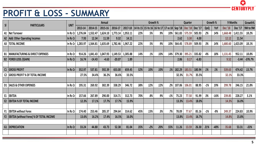

# **PROFIT & LOSS - SUMMARY**

|                |                                                 |             |          |                                      |          |                     |          |     |          |                                                     |       |               |                 |         |       |          |                | 53                |           |
|----------------|-------------------------------------------------|-------------|----------|--------------------------------------|----------|---------------------|----------|-----|----------|-----------------------------------------------------|-------|---------------|-----------------|---------|-------|----------|----------------|-------------------|-----------|
|                | <b>PROFIT &amp; LOSS - SUMMARY</b>              |             |          |                                      |          |                     |          |     |          |                                                     |       |               |                 |         |       |          |                | <b>CENTURYPLY</b> |           |
| SI             | <b>PARTICULARS</b>                              | <b>UNIT</b> |          |                                      | Annual   |                     |          |     | Growth % |                                                     |       |               | Quarter         |         |       | Growth % | 9 Months       |                   | Growth%   |
|                |                                                 |             | 2013-14  | 2014-15                              | 2015-16  | 2016-17             | 2017-18  |     |          | 14 Vs 15   15 Vs 16   16 Vs 17   17 vs 18   Sep '18 |       |               | Dec '18 Dec '17 |         | QoQ   | YoY      | <b>Dec</b> '18 | Dec '17           | 9M to 9M  |
| A1             | Net Turnover                                    | In Rs Cr    | 1,276.04 | 1,552.47                             | 1,624.10 | 1,773.14            | 1,953.11 | 22% | 5%       | 9%                                                  | 10%   | 561.83 575.59 |                 | 505.93  | 2%    | 14%      | 1,668.48       | 1,411.55          | 18.2%     |
| A2             | <b>Add: Other Operating Incomes</b>             | In Rs Cr    | 7.93     | 12.34                                | 11.59    | 9.32                | 14.11    |     |          |                                                     |       | 2.62          | 3.30            | 4.00    |       |          | 12.12          | 11.54             |           |
| A3             | <b>TOTAL INCOME</b>                             | In Rs Cr    |          | $1,283.97$   $1,564.81$   $1,635.69$ |          | 1,782.46   1,967.22 |          | 22% | 5%       | 9%                                                  | 10%   | 564.45        | 578.89          | 509.93  | 3%    | 14%      | 1,680.60       | 1,423.09          | 18.1%     |
|                |                                                 |             |          |                                      |          |                     |          |     |          |                                                     |       |               |                 |         |       |          |                |                   |           |
| <b>B1</b>      | <b>MANUFACTURING &amp; DIRECT EXPENSES</b>      | In Rs Cr    | 914.26   | 1,041.43                             | 1,047.93 | 1,149.53            | 1,305.88 | 14% | 1%       | 10%                                                 | 14%   | 379.30        | 395.21          | 335.82  | 4%    | 18%      | 1,131.45       | 952.11            | 18.8%     |
|                | <b>B2  FOREX LOSS /(GAIN)</b>                   | In Rs Cr    | 16.74    | $-14.43$                             | $-4.63$  | $-20.07$            | 1.89     |     |          |                                                     |       | 2.86          | 0.17            | $-6.83$ |       |          | 9.52           | $-3.44$           | $-376.7%$ |
|                |                                                 |             |          |                                      |          |                     |          |     |          |                                                     |       |               |                 |         |       |          |                |                   |           |
| C1             | <b>GROSS PROFIT</b>                             | In Rs Cr    | 352.97   | 537.81                               | 592.39   | 653.00              | 659.45   | 52% | 10%      | 10%                                                 | 1%    | 182.29        | 183.51          | 180.94  | 1%    | 1%       | 539.63         | 474.42            | 13.7%     |
| C <sub>2</sub> | <b>GROSS PROFIT % OF TOTAL INCOME</b>           |             | 27.5%    | 34.4%                                | 36.2%    | 36.6%               | 33.5%    |     |          |                                                     |       | 32.3%         | 31.7%           | 35.5%   |       |          | 32.1%          | 33.3%             |           |
|                |                                                 |             |          |                                      |          |                     |          |     |          |                                                     |       |               |                 |         |       |          |                |                   |           |
| D <sub>1</sub> | <b>SALES &amp; OTHER EXPENSES</b>               | In Rs Cr    | 195.31   | 269.92                               | 302.39   | 338.29              | 346.72   | 38% | 12%      | 12%                                                 | 2%    | 107.06        | 106.01          | 88.95   | $-1%$ | 19%      | 299.78         | 246.15            | 21.8%     |
|                |                                                 |             |          |                                      |          |                     |          |     |          |                                                     |       |               |                 |         |       |          |                |                   |           |
| E1             | <b>EBITDA</b>                                   | In Rs Cr    | 157.66   | 267.89                               | 290.00   | 314.71              | 312.73   | 70% | 8%       | 9%                                                  | $-1%$ | 75.23         | 77.50           | 91.99   | 3%    | $-16%$   | 239.85         | 228.27            | 5.1%      |
| E2             | <b>EBITDA % OF TOTAL INCOME</b>                 |             | 12.3%    | 17.1%                                | 17.7%    | 17.7%               | 15.9%    |     |          |                                                     |       | 13.3%         | 13.4%           | 18.0%   |       |          | 14.3%          | 16.0%             |           |
|                |                                                 |             |          |                                      |          |                     |          |     |          |                                                     |       |               |                 |         |       |          |                |                   |           |
| F1             | <b>EBITDA without Forex</b>                     | In Rs Cr    | 174.40   | 253.46                               | 285.37   | 294.64              | 314.62   | 45% | 13%      | 3%                                                  | 7%    | 78.09         | 77.67           | 85.16   | $-1%$ | $-9%$    | 249.37         | 224.83            | 10.9%     |
| F <sub>2</sub> | <b>EBITDA (without Forex) % OF TOTAL INCOME</b> |             | 13.6%    | 16.2%                                | 17.4%    | 16.5%               | 16.0%    |     |          |                                                     |       | 13.8%         | 13.4%           | 16.7%   |       |          | 14.8%          | 15.8%             |           |
|                |                                                 |             |          |                                      |          |                     |          |     |          |                                                     |       |               |                 |         |       |          |                |                   |           |
| G1             | <b>DEPRECIATION</b>                             | In Rs Cr    | 33.24    | 44.80                                | 43.73    | 52.38               | 81.04    | 35% | $-2%$    | 20%                                                 | 55%   | 11.26         | 13.59           | 26.30   | 21%   | $-48%$   | 35.68          | 53.31             | $-33%$    |
|                |                                                 |             |          |                                      |          |                     |          |     |          |                                                     |       |               |                 |         |       |          |                |                   |           |
|                |                                                 |             |          |                                      |          |                     |          |     |          |                                                     |       |               |                 |         |       |          |                |                   |           |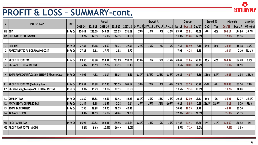

#### **PROFIT & LOSS – SUMMARY-cont.**

|                         | <b>PROFIT &amp; LOSS - SUMMARY-cont.</b>                    |             |          |         |          |          |         |         |          |                                                     |         |       |                |         |         |          |                |         | CENTURYPLY |
|-------------------------|-------------------------------------------------------------|-------------|----------|---------|----------|----------|---------|---------|----------|-----------------------------------------------------|---------|-------|----------------|---------|---------|----------|----------------|---------|------------|
| $\overline{\mathsf{S}}$ | <b>PARTICULARS</b>                                          | <b>UNIT</b> |          |         | Annual   |          |         |         | Growth % |                                                     |         |       | Quarter        |         |         | Growth % | 9 Months       |         | Growth%    |
|                         |                                                             |             | 2013-14  | 2014-15 | 2015-16  | 2016-17  | 2017-18 |         |          | 14 Vs 15   15 Vs 16   16 Vs 17   17 vs 18   Sep '18 |         |       | <b>Dec</b> '18 | Dec '17 | QoQ     | YoY      | <b>Dec</b> '18 | Dec '17 | 9M to 9M   |
| H1                      | <b>EBIT</b>                                                 | In Rs Cr    | 124.42   | 223.09  | 246.27   | 262.33   | 231.69  | 79%     | 10%      | 7%                                                  | $-12%$  | 63.97 | 63.91          | 65.69   | 0%      | $-3%$    | 204.17         | 174.96  | 16.7%      |
|                         | <b>EBIT % OF TOTAL INCOME</b>                               |             | 9.7%     | 14.3%   | 15.1%    | 14.7%    | 11.8%   |         |          |                                                     |         | 11.3% | 11.0%          | 12.9%   |         |          | 12.1%          | 12.3%   |            |
|                         |                                                             |             |          |         |          |          |         |         |          |                                                     |         |       |                |         |         |          |                |         |            |
| 11                      | <b>INTEREST</b>                                             | In Rs Cr    | 27.84    | 33.68   | 28.69    | 26.71    | 27.96   | 21%     | $-15%$   | $-7%$                                               | 5%      | 7.54  | 10.49          | 8.10    | 39%     | 30%      | 24.86          | 18.38   | 35%        |
| 12                      | <b>FOREX TREATED AS BORROWING COST</b>                      | In Rs Cr    | 27.28    | 9.61    | 17.77    | 1.93     | 4.72    |         |          |                                                     |         | 7.96  | $-4.24$        | $-1.83$ |         |          | 10.34          | 2.10    | 392.3%     |
|                         |                                                             |             |          |         |          |          |         |         |          |                                                     |         |       |                |         |         |          |                |         |            |
| J1                      | <b>PROFIT BEFORE TAX</b>                                    | In Rs Cr    | 69.30    | 179.80  | 199.81   | 233.69   | 199.01  | 159%    | 11%      | 17%                                                 | $-15%$  | 48.47 | 57.66          | 59.42   | 19%     | $-3%$    | 168.97         | 154.48  | 9.4%       |
| J2                      | <b>PBT AS % OF TOTAL INCOME</b>                             |             | 5.4%     | 11.5%   | 12.2%    | 13.1%    | 10.1%   |         |          |                                                     |         | 8.6%  | 10.0%          | 11.7%   |         |          | 10.1%          | 10.9%   |            |
|                         |                                                             |             |          |         |          |          |         |         |          |                                                     |         |       |                |         |         |          |                |         |            |
|                         | <b>TOTAL FOREX GAIN/LOSS (In EBITDA &amp; Finance Cost)</b> | In Rs Cr    | 44.02    | $-4.82$ | 13.14    | $-18.14$ | 6.61    | $-111%$ | $-373%$  | $-238%$                                             | $-136%$ | 10.82 | $-4.07$        | $-8.66$ | $-138%$ | $-53%$   | 19.86          | $-1.34$ | $-1582%$   |
|                         |                                                             |             |          |         |          |          |         |         |          |                                                     |         |       |                |         |         |          |                |         |            |
| K1                      | <b>PROFIT BEFORE TAX (Excluding Forex)</b>                  | In Rs Cr    | 113.32   | 174.98  | 212.95   | 215.55   | 205.62  | 54%     | 22%      | 1%                                                  | $-5%$   | 59.29 | 53.59          | 50.76   | $-10%$  | 6%       | 188.83         | 153.14  | 23%        |
|                         | K2   PBT (Excluding Forex) AS % OF TOTAL INCOME             | In Rs Cr    | 8.8%     | 11.2%   | 13.0%    | 12.1%    | 10.5%   |         |          |                                                     |         | 10.5% | 9.3%           | 10.0%   |         |          | 11.2%          | 10.8%   |            |
|                         |                                                             |             |          |         |          |          |         |         |          |                                                     |         |       |                |         |         |          |                |         |            |
| L1                      | <b>CURRENT TAX</b>                                          | In Rs Cr    | 13.80    | 38.83   | 42.67    | 50.41    | 42.23   | 181%    | 10%      | 18%                                                 | $-16%$  | 10.36 | 12.30          | 12.51   | 19%     | $-2%$    | 36.21          | 32.77   | 10.5%      |
| L2                      | MAT CREDIT / DEFERRED TAX                                   | In Rs Cr    | $-11.44$ | $-9.85$ | $-12.67$ | $-2.28$  | 0.14    | $-14%$  | 29%      | $-82%$                                              | $-106%$ | 0.29  | 3.95           | 0.25    | 1262%   | 1480%    | 8.16           | 0.79    | 933%       |
| L3                      | <b>TOTAL TAX EXPENSES</b>                                   | In Rs Cr    | 2.36     | 28.98   | 30.00    | 48.13    | 42.37   |         |          |                                                     |         | 10.65 | 16.25          | 12.76   |         |          | 44.37          | 33.56   |            |
| $\lfloor 4 \rfloor$     | <b>TAX AS % OF PBT</b>                                      |             | 3.4%     | 16.1%   | 15.0%    | 20.6%    | 21.3%   |         |          |                                                     |         | 22.0% | 28.2%          | 21.5%   |         |          | 26.3%          | 21.7%   |            |
|                         |                                                             |             |          |         |          |          |         |         |          |                                                     |         |       |                |         |         |          |                |         |            |
|                         | M1 PROFT AFTER TAX                                          | In Rs Cr    | 66.94    | 150.82  | 169.81   | 185.56   | 156.64  | 125%    | 13%      | 9%                                                  | $-16%$  | 37.82 | 41.41          | 46.66   | 9%      | $-11%$   | 124.60         | 120.92  | 3%         |
|                         | M2   PROFIT % OF TOTAL INCOME                               |             | 5.2%     | 9.6%    | 10.4%    | 10.4%    | 8.0%    |         |          |                                                     |         | 6.7%  | 7.2%           | 9.2%    |         |          | 7.4%           | 8.5%    |            |
|                         |                                                             |             |          |         |          |          |         |         |          |                                                     |         |       |                |         |         |          |                |         |            |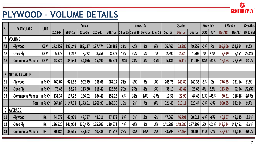公

#### **PLYWOOD – VOLUME DETAILS**

|                          | <b>PLYWOOD - VOLUME DETAILS</b> |                |         |          |          |          |          |        |       |          |                                     |         |                |         |           |          |                | <b>LENIURIPLI</b> |          |
|--------------------------|---------------------------------|----------------|---------|----------|----------|----------|----------|--------|-------|----------|-------------------------------------|---------|----------------|---------|-----------|----------|----------------|-------------------|----------|
| SL                       |                                 | <b>UNIT</b>    |         |          | Annual   |          |          |        |       | Growth % |                                     |         | Quarter        |         |           | Growth % |                | 9 Months          | Growth%  |
|                          | <b>PARTICULARS</b>              |                | 2013-14 | 2014-15  | 2015-16  | 2016-17  | 2017-18  |        |       |          | 14 Vs 15 15 vs 16 16 vs 17 17 vs 18 | Sep '18 | <b>Dec</b> '18 | Dec '17 | QoQ       | YoY      | <b>Dec</b> '18 | Dec '17           | 9M to 9M |
|                          | A VOLUME                        |                |         |          |          |          |          |        |       |          |                                     |         |                |         |           |          |                |                   |          |
| A1                       | -Plywood                        | <b>CBM</b>     | 172,452 | 192,249  | 189,117  | 197,474  | 208,382  | 11%    | $-2%$ | 4%       | 6%                                  | 56,466  | 53,385         | 49,859  | $-5%$     | 7%       | 165,906        | 151,894           | 9.2%     |
| A2                       | -Deco Ply                       | <b>CBM</b>     | 5,379   | 6,217    | 8,722    | 8,756    | 8,873    | 16%    | 40%   | 0%       | 1%                                  | 2,690   | 2,720          | 1,502   | <u>1%</u> | 81%      | 7,919          | 6,451             | 22.8%    |
| A3                       | -Commercial Veneer              | <b>CBM</b>     | 43,524  | 35,534   | 44,076   | 45,490   | 36,671   | $-18%$ | 24%   | 3%       | $-19%$                              | 5,181   | 6,112          | 11,005  | 18%       | $-44%$   | 16,463         | 28,869            | $-43.0%$ |
|                          |                                 |                |         |          |          |          |          |        |       |          |                                     |         |                |         |           |          |                |                   |          |
| $\mathsf{B}$             | <b>NET SALES VALUE</b>          |                |         |          |          |          |          |        |       |          |                                     |         |                |         |           |          |                |                   |          |
| <b>B1</b>                | -Plywood                        | In Rs Cr       | 760.04  | 921.62   | 902.79   | 958.06   | 987.14   | 21%    | $-2%$ | 6%       | 3%                                  | 265.75  | 249.80         | 249.35  | $-6%$     | 0%       | 776.55         | 731.14            | 6.2%     |
| <b>B2</b>                | -Deco Ply                       | In Rs Cr       | 73.43   | 88.25    | 113.80   | 118.47   | 123.93   | 20%    | 29%   | 4%       | 5%                                  | 38.19   | 40.42          | 26.63   | 6%        | 52%      | 113.49         | 92.54             | 22.6%    |
| <b>B3</b>                | -Commercial Veneer              | In Rs Cr       | 131.37  | 137.22   | 156.92   | 184.40   | 152.23   | 4%     | 14%   | 18%      | $-17%$                              | 17.51   | 22.90          | 44.46   | 31%       | -48%     | 60.81          | 118.46            | $-48.7%$ |
|                          |                                 | Total In Rs Cr | 964.84  | 1,147.08 | 1,173.51 | 1,260.93 | 1,263.30 | 19%    | 2%    | 7%       | 0%                                  | 321.45  | 313.11         | 320.44  | $-3%$     | $-2%$    | 950.85         | 942.14            | 0.9%     |
| $\underline{\mathsf{C}}$ | <b>AVERAGE</b>                  |                |         |          |          |          |          |        |       |          |                                     |         |                |         |           |          |                |                   |          |
| C1                       | -Plywood                        | Rs.            | 44,072  | 47,939   | 47,737   | 48,516   | 47,372   | 9%     | 0%    | 2%       | $-2%$                               | 47,063  | 46,791         | 50,011  | $-1%$     | $-6%$    | 46,807         | 48,135            | $-2.8%$  |
| C <sub>2</sub>           | -Deco Ply                       | Rs.            | 136,526 | 141,954  | 130,475  | 135,302  | 139,671  | 4%     | $-8%$ | 4%       | 3%                                  | 141,988 | 148,585        | 177,297 | 5%        | -16%     | 143,314        | 143,451           | $-0.1%$  |
| C <sub>3</sub>           | -Commercial Veneer              | Rs.            | 30,184  | 38,615   | 35,602   | 40,536   | 41,512   | 28%    | $-8%$ | 14%      | 2%                                  | 33,799  | 37,465         | 40,400  | $11\%$    | $-7%$    | 36,937         | 41,034            | $-10.0%$ |
|                          |                                 |                |         |          |          |          |          |        |       |          |                                     |         |                |         |           |          |                |                   |          |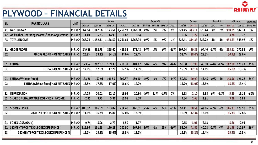

## **PLYWOOD – FINANCIAL DETAILS**

|                | <b>PLYWOOD - FINANCIAL DETAILS</b>             |                   |         |          |                   |          |          |          |          |                            |        |         |                           |                |              |        |                            | 23      | CENTURYPLY           |
|----------------|------------------------------------------------|-------------------|---------|----------|-------------------|----------|----------|----------|----------|----------------------------|--------|---------|---------------------------|----------------|--------------|--------|----------------------------|---------|----------------------|
| <b>SL</b>      | <b>PARTICULARS</b>                             | <b>UNIT</b>       | 2013-14 | 2014-15  | Annual<br>2015-16 | 2016-17  | 2017-18  | 14 Vs 15 | Growth % | 15 Vs 16 16 vs 17 17 vs 18 |        | Sep '18 | Quarter<br><b>Dec</b> '18 | Dec '17        | Growth %     | YoY    | 9 Months<br><b>Dec</b> '18 | Dec '17 | Growth %<br>9M to 9M |
| A1             | <b>Net Turnover</b>                            | In Rs Cr          | 964.84  | 1,147.08 | 1,173.51          | 1,260.93 | 1,263.30 | 19%      | 2%       | 7%                         | 0%     | 321.45  | 313.11                    | 320.44         | QoQ<br>$-3%$ | $-2%$  | 950.85                     | 942.14  | 1%                   |
| A2             | Add: Other Operating Incomes/IndAS Adjustment  | In Rs Cr          | 1.40    | 5.23     | $-14.99$          | 0.88     | 5.64     |          |          |                            |        | 0.96    | 1.22                      | 2.28           |              |        | 3.78                       | 3.78    |                      |
| A3             | <b>TOTAL INCOME</b>                            | In Rs Cr          | 966.24  | 1,152.31 | 1,158.52          | 1,261.81 | 1,268.94 | 19%      | 1%       | 9%                         | 1%     | 322.41  | 314.33                    | 322.72         | $-3%$        | $-3%$  | 954.63                     | 945.92  | 1%                   |
|                |                                                |                   |         |          |                   |          |          |          |          |                            |        |         |                           |                |              |        |                            |         |                      |
| <b>B1</b>      | <b>GROSS PROFIT</b>                            | In Rs Cr          | 249.26  | 382.75   | 395.60            | 429.32   | 372.48   | 54%      | 3%       | 9%                         | $-13%$ | 107.74  | 89.35                     | 94.40          | $-17%$       | $-5%$  | 295.31                     | 270.54  | 9%                   |
| <b>B2</b>      | <b>GROSS PROFIT % OF NET SALES In Rs Cr</b>    |                   | 25.8%   | 33.2%    | 34.1%             | 34.0%    | 29.4%    |          |          |                            |        | 33.4%   | 28.4%                     | 29.3%          |              |        | 30.9%                      | 28.6%   |                      |
|                |                                                |                   |         |          |                   |          |          |          |          |                            |        |         |                           |                |              |        |                            |         |                      |
| C1             | <b>EBITDA</b>                                  | In Rs Cr          | 123.52  | 202.97   | 199.38            | 216.37   | 181.17   | 64%      | $-2%$    | 9%                         | $-16%$ | 50.00   | 37.98                     | 45.58          | $-24%$       | $-17%$ | 142.90                     | 129.21  | 11%                  |
| C <sub>2</sub> | <b>EBITDA % OF NET SALES In Rs Cr</b>          |                   | 12.8%   | 17.6%    | 17.2%             | 17.1%    | 14.3%    |          |          |                            |        | 15.5%   | 12.1%                     | 14.1%          |              |        | 15.0%                      | 13.7%   |                      |
|                |                                                |                   |         |          |                   |          |          |          |          |                            |        |         |                           |                |              |        |                            |         |                      |
| D1             | <b>EBITDA (Without Forex)</b>                  | In Rs Cr          | 133.26  | 197.91   | 196.59            | 209.87   | 180.10   | 49%      | $-1%$    | 7%                         | $-14%$ | 50.65   | 40.99                     | 43.45          | $-19%$       | $-6%$  | 148.56                     | 126.28  | 18%                  |
| D <sub>2</sub> | EBITDA (without forex) % OF NET SALES In Rs Cr |                   | 13.8%   | 17.2%    | 17.0%             | 16.6%    | 14.2%    |          |          |                            |        | 15.7%   | 13.0%                     | 13.5%          |              |        | 15.6%                      | 13.4%   |                      |
| E1             | <b>DEPRECIATION</b>                            | In Rs Cr          | 14.25   | 20.01    | 22.17             | 18.95    | 20.34    | 40%      | 11%      | $-15%$                     | 7%     | 1.93    | 2.10                      | 5.33           | 9%           | $-61%$ | 5.85                       | 15.14   | $-61%$               |
| E2.            | SHARE OF UNALLOCABLE EXPENSES / (INCOME)       | In Rs Cr          | $-2.35$ | 3.73     | 5.81              | 16.98    | 8.08     |          |          |                            |        | 4.34    | 2.63                      | 1.91           |              |        | 9.28                       | 6.83    |                      |
|                |                                                |                   |         |          |                   |          |          |          |          |                            |        |         |                           |                |              |        |                            |         |                      |
| F1             | <b>SEGMENT PROFIT</b>                          | In Rs Cr          | 106.92  | 186.69   | 183.02            | 214.40   | 168.91   | 75%      | $-2%$    | 17%                        | $-21%$ | 52.41   | 38.51                     | 42.16          | $-27%$       | $-9%$  | 146.33                     | 120.90  | 21%                  |
| F <sub>2</sub> | SEGMENT PROFIT % OF NET SALES In Rs Cr         |                   | 11.1%   | 16.2%    | 15.8%             | 17.0%    | 13.3%    |          |          |                            |        | 16.3%   | 12.3%                     | 13.1%          |              |        | 15.3%                      | 12.8%   |                      |
|                |                                                |                   |         |          |                   |          |          |          |          |                            |        |         |                           |                |              |        |                            |         |                      |
|                | G1  FOREX LOSS/(GAIN)                          | In Rs Cr          | 9.74    | $-5.06$  | $-2.79$           | $-6.50$  | $-1.07$  |          |          |                            |        | 0.65    | 3.01                      | $-2.13$        |              |        | 5.66                       | $-2.93$ |                      |
|                | <b>G2 SEGMENT PROFIT EXCL FOREX DIFFERENCE</b> | In Rs Cr   116.66 |         | 181.63   | 180.23            | 207.90   | 167.84   | 56%      | $-1%$    | 15%                        | $-19%$ | 53.06   | 41.52                     | $40.03$ $-22%$ |              | 4%     | 151.99                     | 117.97  | 29%                  |
| G <sub>3</sub> | <b>SEGMENT PROFIT EXCL FOREX DIFFERENCE %</b>  |                   | 12.1%   | 15.8%    | 15.6%             | 16.5%    | 13.2%    |          |          |                            |        | 16.5%   | 13.2%                     | 12.4%          |              |        | 15.9%                      | 12.5%   |                      |
|                |                                                |                   |         |          |                   |          |          |          |          |                            |        |         |                           |                |              |        |                            |         |                      |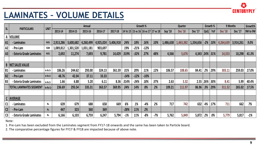

|                | <b>LAMINATES - VOLUME DETAILS</b>                                                                                                                                                                                                                                                                                                                                                                                                        |             |           |           |           |           |           |                                           |        |          |       |           |                |                     |                    |              |                | <b>CENTURYPLY</b> |          |
|----------------|------------------------------------------------------------------------------------------------------------------------------------------------------------------------------------------------------------------------------------------------------------------------------------------------------------------------------------------------------------------------------------------------------------------------------------------|-------------|-----------|-----------|-----------|-----------|-----------|-------------------------------------------|--------|----------|-------|-----------|----------------|---------------------|--------------------|--------------|----------------|-------------------|----------|
|                |                                                                                                                                                                                                                                                                                                                                                                                                                                          |             |           |           | Annual    |           |           |                                           |        | Growth % |       |           | Quarter        |                     |                    | Growth %     |                | 9 Months          | Growth%  |
| SL             | <b>PARTICULARS</b>                                                                                                                                                                                                                                                                                                                                                                                                                       | <b>UNIT</b> | 2013-14   | 2014-15   | 2015-16   | 2016-17   | 2017-18   | 14 Vs 15   15 vs 16   16 vs 17   17 vs 18 |        |          |       | Sep '18   | <b>Dec</b> '18 | Dec '17             | QoQ                | YoY          | <b>Dec</b> '18 | Dec '17           | 9M to 9M |
| A              | <b>VOLUME</b>                                                                                                                                                                                                                                                                                                                                                                                                                            |             |           |           |           |           |           |                                           |        |          |       |           |                |                     |                    |              |                |                   |          |
| A1             | - Laminates                                                                                                                                                                                                                                                                                                                                                                                                                              | NOS.        | 2,913,286 | 3,600,682 | 4,260,499 | 4,925,024 | 5,406,918 | 24%                                       | 18%    | 16%      | 10%   | 1,486,638 | 1,463,382      | 1,334,656           |                    | $-2\%$   10% | 4,264,639      | 3,914,261         | 9.0%     |
| A2             | - Pre-Lam                                                                                                                                                                                                                                                                                                                                                                                                                                | SQM         | 1,089,812 | 1,301,520 | 1,031,181 | 903,697   |           | 19%                                       | $-21%$ | $-12%$   |       |           |                |                     |                    |              |                |                   |          |
| A <sub>3</sub> | - Exteria Grade Laminates                                                                                                                                                                                                                                                                                                                                                                                                                | NOS.        | 2,692     | 11,274    | 7,693     | 9,781     | 14,429    | 319%                                      | $-32%$ | 27%      | 48%   | 4,566     | 5,676          | $4,343$   24%   31% |                    |              | 14,553         | 10,298            | 41.3%    |
|                |                                                                                                                                                                                                                                                                                                                                                                                                                                          |             |           |           |           |           |           |                                           |        |          |       |           |                |                     |                    |              |                |                   |          |
|                | <b>NET SALES VALUE</b>                                                                                                                                                                                                                                                                                                                                                                                                                   |             |           |           |           |           |           |                                           |        |          |       |           |                |                     |                    |              |                |                   |          |
| <b>B1</b>      | - Laminates                                                                                                                                                                                                                                                                                                                                                                                                                              | In Rs Cr    | 186.26    | 244.62    | 293.00    | 324.13    | 361.59    | 31%                                       | 20%    | 11%      | 12%   | 106.57    | 108.65         | 84.41               | 2%                 | 29%          | 303.11         | 259.03            | 17.0%    |
| <b>B2</b>      | - Pre-Lam                                                                                                                                                                                                                                                                                                                                                                                                                                | In Rs Cr    | 48.76     | 42.04     | 37.11     | 33.33     |           | $-14%$                                    | $-12%$ | $-10%$   |       |           |                |                     |                    |              |                |                   |          |
| <b>B3</b>      | - Exteria Grade Laminates                                                                                                                                                                                                                                                                                                                                                                                                                | In Rs Cr    | 1.66      | 6.88      | $5.20$    | 6.11      | 8.36      | 314%                                      | $-24%$ | 18%      | 37%   | 2.63      | 3.32           |                     | $2.55$   26%   30% |              | 8.41           | 5.99              | 40.4%    |
|                | <b>TOTAL LAMINATES SEGMENT</b> In Rs Cr                                                                                                                                                                                                                                                                                                                                                                                                  |             | 236.69    | 293.54    | 335.31    | 363.57    | 369.95    | 24%                                       | 14%    | 8%       | 2%    | 109.21    | 111.97         | 86.96               | 3%                 | 29%          | 311.52         | 265.02            | 17.5%    |
|                |                                                                                                                                                                                                                                                                                                                                                                                                                                          |             |           |           |           |           |           |                                           |        |          |       |           |                |                     |                    |              |                |                   |          |
|                | C AVERAGE                                                                                                                                                                                                                                                                                                                                                                                                                                |             |           |           |           |           |           |                                           |        |          |       |           |                |                     |                    |              |                |                   |          |
| C1             | - Laminates                                                                                                                                                                                                                                                                                                                                                                                                                              | Rs.         | 639       | 679       | 688       | 658       | 669       | 6%                                        | 1%     | $-4%$    | 2%    | 717       | 742            | 632                 | 4%                 | 17%          | 711            | 662               | 7%       |
| C <sub>2</sub> | - Pre-Lam                                                                                                                                                                                                                                                                                                                                                                                                                                | Rs.         | 447       | 323       | 360       | 369       |           | $-28%$                                    | 11%    | 2%       |       |           |                |                     |                    |              |                |                   |          |
| C <sub>3</sub> | - Exteria Grade Laminates                                                                                                                                                                                                                                                                                                                                                                                                                | Rs.         | 6,166     | 6,103     | 6,759     | 6,247     | 5,794     | $-1%$                                     | 11%    | $-8%$    | $-7%$ | 5,762     | 5,849          | 5,872               | 2%                 | 0%           | 5,779          | 5,817             | $-1%$    |
|                | Note:<br>1. Pre-Lam has been excluded from the Laminates segment from FY17-18 onwards and the same has been taken to Particle board.<br>$\mathbf{r}$ and $\mathbf{r}$ and $\mathbf{r}$ are $\mathbf{r}$ and $\mathbf{r}$ are $\mathbf{r}$ and $\mathbf{r}$ and $\mathbf{r}$ are $\mathbf{r}$ and $\mathbf{r}$ and $\mathbf{r}$ are $\mathbf{r}$ and $\mathbf{r}$ are $\mathbf{r}$ and $\mathbf{r}$ are $\mathbf{r}$ and $\mathbf{r}$ are |             |           |           |           |           |           |                                           |        |          |       |           |                |                     |                    |              |                |                   |          |

2. The comparative percentage figures for FY17 & FY18 are impacted because of above note.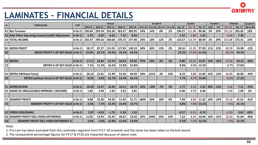

## **LAMINATES – FINANCIAL DETAILS**

|                |                                                    |             |         |                |                |         |         |          |                     |       |          |         |                |                |     |          |                | <b>CENTIIRYPI Y</b> |          |
|----------------|----------------------------------------------------|-------------|---------|----------------|----------------|---------|---------|----------|---------------------|-------|----------|---------|----------------|----------------|-----|----------|----------------|---------------------|----------|
|                |                                                    |             |         |                |                |         |         |          |                     |       |          |         |                |                |     |          |                |                     |          |
|                | <b>LAMINATES - FINANCIAL DETAILS</b>               |             |         |                |                |         |         |          |                     |       |          |         |                |                |     |          |                |                     |          |
|                |                                                    |             |         |                | Annual         |         |         |          | Growth %            |       |          |         | <b>Quarter</b> |                |     | Growth % | 9 Months       |                     | Growth % |
| <b>SL</b>      | <b>PARTICULARS</b>                                 | <b>UNIT</b> | 2013-14 | 2014-15        | 2015-16        | 2016-17 | 2017-18 | 14 Vs 15 | 15 Vs 16   16 vs 17 |       | 17 vs 18 | Sep '18 | <b>Dec</b> '18 | Dec '17        | QoQ | YoY      | <b>Dec</b> '18 | Dec '17             | 9M to 9M |
|                | A1 Net Turnover                                    | In Rs Cr    | 236.69  | 293.54         | 335.30         | 363.57  | 369.95  | 24%      | 14%                 | 8%    | 2%       | 109.21  | 111.96         | 86.96          | 3%  | 29%      | 311.52         | 265.02              | 18%      |
|                | A2 Add: Other Operating Incomes/IndAS Adjustment   | In Rs Cr    | 5.78    | 6.02           | $-4.62$        | 7.15    | 8.03    |          |                     |       |          | 1.37    | 1.84           | 1.53           |     |          | 4.36           | 7.39                |          |
|                | <b>A3 TOTAL INCOME</b>                             | In Rs Cr    | 242.47  | 299.56         | 330.68         | 370.72  | 377.98  | 24%      | 10%                 | 12%   | 2%       | 110.57  | 113.79         | 88.49          | 3%  | 29%      | 315.88         | 272.41              | 16%      |
|                |                                                    |             |         |                |                |         |         |          |                     |       |          |         |                |                |     |          |                |                     |          |
| <b>B1</b>      | <b>GROSS PROFIT</b>                                | In Rs Cr    | 58.17   | 87.27          | 113.35         | 127.95  | 130.33  | 50%      | 30%                 | 13%   | 2%       | 28.16   | 31.35          | 27.99          | 11% | 12%      | 82.59          | 93.98               | $-12%$   |
| <b>B2</b>      | <b>GROSS PROFIT % OF NET SALES In Rs Cr</b>        |             | 24.0%   | 29.1%          | 34.3%          | 34.5%   | 34.5%   |          |                     |       |          | 25.5%   | 27.6%          | 31.6%          |     |          | 26.1%          | 34.5%               |          |
|                |                                                    |             |         |                |                |         |         |          |                     |       |          |         |                |                |     |          |                |                     |          |
|                | C1 EBITDA<br><b>EBITDA % OF NET SALES In Rs Cr</b> | In Rs Cr    | 17.17   | 33.84<br>11.3% | 53.74<br>16.3% | 58.64   | 59.62   | 97%      | 59%                 | 9%    | 2%       | 8.80    | 10.19          | 13.67<br>15.5% | 16% | $-26%$   | 27.62<br>8.7%  | 46.33               | $-40%$   |
| C <sub>2</sub> |                                                    |             | 7.1%    |                |                | 15.8%   | 15.8%   |          |                     |       |          | 8.0%    | 9.0%           |                |     |          |                | 17.0%               |          |
| D <sub>1</sub> | <b>EBITDA (Without Forex)</b>                      | In Rs Cr    | 20.14   | 25.81          | 51.99          | 53.36   | 60.94   | 28%      | 101%                | 3%    | 14%      | 8.53    | 9.88           | 12.89          | 16% | $-23%$   | 26.09          | 46.96               | $-44%$   |
| D <sub>2</sub> | EBITDA (without forex) % OF NET SALES In Rs Cr     |             | 8.3%    | 8.6%           | 15.7%          | 14.4%   | 16.1%   |          |                     |       |          | 7.7%    | 8.7%           | 14.6%          |     |          | 8.3%           | 17.2%               |          |
|                |                                                    |             |         |                |                |         |         |          |                     |       |          |         |                |                |     |          |                |                     |          |
|                | <b>E1 DEPRECIATION</b>                             | In Rs Cr    | 10.94   | 13.37          | 10.96          | 10.21   | 10.73   | 22%      | $-18%$              | $-7%$ | 5%       | 1.77    | 2.12           | 2.52           | 20% | $-16%$   | 5.40           | 7.21                | $-25%$   |
|                | E2 SHARE OF UNALLOCABLE EXPENSES / (INCOME)        | In Rs Cr    | 1.85    | 2.49           | 1.42           | 3.52    | 2.81    |          |                     |       |          | 0.46    | 0.79           | 0.46           |     |          | 1.94           | 1.89                | 3%       |
|                |                                                    |             |         |                |                |         |         |          |                     |       |          |         |                |                |     |          |                |                     |          |
| F <sub>1</sub> | <b>SEGMENT PROFIT</b>                              | In Rs Cr    | 8.08    | 22.96          | 44.20          | 51.95   | 51.71   | 184%     | 93%                 | 18%   | 0%       | 7.49    | 8.85           | 11.62          | 18% | $-24%$   | 24.16          | 41.01               | $-41%$   |
| F <sub>2</sub> | SEGMENT PROFIT % OF NET SALES In Rs Cr             |             | 3.3%    | 7.7%           | 13.4%          | 14.0%   | 13.7%   |          |                     |       |          | 6.8%    | 7.8%           | 13.1%          |     |          | 7.6%           | 15.1%               |          |
|                |                                                    |             |         |                |                |         |         |          |                     |       |          |         |                |                |     |          |                |                     |          |
|                | <b>G1 FOREX LOSS/(GAIN)</b>                        | In Rs Cr    | 2.97    | $-8.03$        | $-1.75$        | $-5.28$ | 1.32    |          |                     |       |          | $-0.27$ | $-0.31$        | $-0.78$        |     |          | $-1.53$        | 0.62                | 62%      |
|                | <b>G2 SEGMENT PROFIT EXCL FOREX DIFFERENCE</b>     | In Rs Cr    | 11.05   | 14.93          | 42.45          | 46.67   | 53.03   | 35%      | 184%                | 10%   | 14%      | 7.22    | 8.54           | 10.84          | 18% | $-21%$   | 22.63          | 41.64               | $-46%$   |
| G <sub>3</sub> | <b>SEGMENT PROFIT EXCL FOREX DIFFERENCE %</b>      |             | 4.6%    | 5.0%           | 12.8%          | 12.6%   | 14.0%   |          |                     |       |          | 6.5%    | 7.5%           | 12.2%          |     |          | 7.2%           | 15.3%               |          |

Note:

1. Pre-Lam has been excluded from the Laminates segment from FY17-18 onwards and the same has been taken to Particle board.

2. The comparative percentage figures for FY17 & FY18 are impacted because of above note.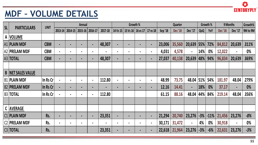

### **MDF – VOLUME DETAILS**

|    | <b><i>IVER</i></b>       | <u> TEVINE</u> |         | <b>STEP IS A REAL</b> |                |                |                |                |                |                |                |         |                |                |       |          |                |                |          |
|----|--------------------------|----------------|---------|-----------------------|----------------|----------------|----------------|----------------|----------------|----------------|----------------|---------|----------------|----------------|-------|----------|----------------|----------------|----------|
| SL |                          | <b>UNIT</b>    |         |                       | Annual         |                |                |                | Growth %       |                |                |         | Quarter        |                |       | Growth % |                | 9 Months       | Growth%  |
|    | <b>PARTICULARS</b>       |                | 2013-14 | 2014-15               | $2015 - 16$    | 2016-17        | 2017-18        | 14 Vs 15       | 15 Vs 16       | 16 vs 17       | 17 vs 18       | Sep '18 | <b>Dec</b> '18 | Dec '17        | QoQ   | YoY      | <b>Dec</b> '18 | Dec '17        | 9M to 9M |
|    | A VOLUME                 |                |         |                       |                |                |                |                |                |                |                |         |                |                |       |          |                |                |          |
|    | A1   PLAIN MDF           | <b>CBM</b>     |         | $\blacksquare$        | $\blacksquare$ | $\blacksquare$ | 48,307         | $\blacksquare$ | $\blacksquare$ |                | $\blacksquare$ | 23,006  | 35,560         | 20,639 55%     |       | 72%      | 84,812         | 20,639         | 311%     |
|    | A2   PRELAM MDF          | <b>CBM</b>     |         | $\blacksquare$        |                |                | $\blacksquare$ | $\blacksquare$ | $\blacksquare$ |                | $\blacksquare$ | 4,031   | 4,578          | $\blacksquare$ | 14%   | $0\%$    | 12,022         | $\blacksquare$ | 0%       |
|    | A3 TOTAL                 | <b>CBM</b>     |         | $\blacksquare$        |                | $\blacksquare$ | 48,307         | $\blacksquare$ | $\blacksquare$ |                | $\blacksquare$ | 27,037  | 40,138         | 20,639   48%   |       | 94%      | 96,834         | 20,639         | 369%     |
|    |                          |                |         |                       |                |                |                |                |                |                |                |         |                |                |       |          |                |                |          |
|    | <b>B NET SALES VALUE</b> |                |         |                       |                |                |                |                |                |                |                |         |                |                |       |          |                |                |          |
|    | <b>B1   PLAIN MDF</b>    | In Rs Cr       |         | $\blacksquare$        |                | $\blacksquare$ | 112.80         | $\blacksquare$ | $\blacksquare$ |                | $\blacksquare$ | 48.99   | 73.75          | 48.04          | 51%   | 54%      | 181.97         | 48.04          | 279%     |
|    | <b>B2 PRELAM MDF</b>     | ln Rs Cr       |         | $\blacksquare$        |                | $\blacksquare$ | $\blacksquare$ | $\blacksquare$ | -              |                | $\blacksquare$ | 12.16   | 14.41          | $\blacksquare$ | 18%   | 0%       | 37.17          | $\blacksquare$ | 0%       |
|    | <b>B3 TOTAL</b>          | In Rs Cr       |         | $\blacksquare$        |                | $\blacksquare$ | 112.80         |                |                |                |                | 61.15   | 88.16          | 48.04          | 44%   | 84%      | 219.14         | 48.04          | 356%     |
|    |                          |                |         |                       |                |                |                |                |                |                |                |         |                |                |       |          |                |                |          |
|    | C AVERAGE                |                |         |                       |                |                |                |                |                |                |                |         |                |                |       |          |                |                |          |
|    | <b>C1 PLAIN MDF</b>      | Rs.            |         | $\blacksquare$        | $\blacksquare$ | $\blacksquare$ | 23,351         | $\blacksquare$ | $\blacksquare$ | $\blacksquare$ | $\blacksquare$ | 21,294  | 20,740         | 23,276         | $-3%$ | $-11%$   | 21,456         | 23,276         | $-8%$    |
|    | C2   PRELAM MDF          | Rs.            |         | $\blacksquare$        |                |                | $\blacksquare$ | $\blacksquare$ | $\blacksquare$ |                | $\blacksquare$ | 30,171  | 31,472         | $\blacksquare$ | 4%    | 0%       | 30,918         | $\blacksquare$ | 0%       |
|    | CG   TOTAL               | Rs.            |         |                       |                |                | 23,351         | $\blacksquare$ | $\blacksquare$ | $\blacksquare$ | $\blacksquare$ | 22,618  | 21,964         | 23,276         | $-3%$ | $-6%$    | 22,631         | 23,276         | $-3%$    |
|    |                          |                |         |                       |                |                |                |                |                |                |                |         |                |                |       |          |                |                |          |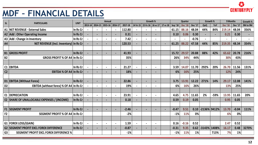

# **MDF – FINANCIAL DETAILS**

|                | <b>MDF - FINANCIAL DETAILS</b>                 |             |                |                 |         |                |         |                   |          |                     |                |                |                |                |                         |                              |                |         | <b>CENTURYPLY</b> |
|----------------|------------------------------------------------|-------------|----------------|-----------------|---------|----------------|---------|-------------------|----------|---------------------|----------------|----------------|----------------|----------------|-------------------------|------------------------------|----------------|---------|-------------------|
| <b>SL</b>      | <b>PARTICULARS</b>                             | <b>UNIT</b> |                |                 | Annual  |                |         |                   | Growth % |                     |                |                | <b>Quarter</b> |                | Growth %                |                              | 9 Months       |         | Growth %          |
|                |                                                |             |                | 2013-14 2014-15 | 2015-16 | 2016-17        | 2017-18 | 14 Vs 15 35 Vs 16 |          | 16 vs 17   17 vs 18 |                | Sep '18        | <b>Dec</b> '18 | <b>Dec</b> '17 | QoQ                     | YoY                          | <b>Dec</b> '18 | Dec '17 | 9M to 9M          |
|                | A1   NET REVENUE - External Sales              | In Rs Cr    | $\blacksquare$ |                 |         | $\blacksquare$ | 112.80  |                   |          | $\blacksquare$      |                | 61.15          | 88.16          | 48.04          | 44%                     | 84%                          | 219.14         | 48.04   | 356%              |
|                | A2   Add : Other Operating Income              | In Rs Cr    |                | -               |         |                | 0.31    |                   |          |                     |                | 0.10           | 0.06           | 0.30           | $\blacksquare$          | $\qquad \qquad \blacksquare$ | 0.21           | 0.30    |                   |
|                | A3   Add : Change in Inventory                 | In Rs Cr    |                | $\blacksquare$  |         | $\blacksquare$ | 7.42    |                   |          | $\blacksquare$      |                | $\blacksquare$ |                | $-0.76$        | $\blacksquare$          |                              |                |         |                   |
| A4             | NET REVENUE (Incl. Inventory) In Rs Cr         |             |                |                 |         |                | 120.53  |                   |          |                     |                | 61.25          | 88.22          | 47.58          | 44%                     | 85%                          | 219.35         | 48.34   | 354%              |
|                |                                                |             |                |                 |         |                |         |                   |          |                     |                |                |                |                |                         |                              |                |         |                   |
| <b>B1</b>      | <b>GROSS PROFIT</b>                            | In Rs Cr    |                |                 |         |                | 41.93   |                   |          |                     |                | 15.72          | 29.57          | 20.88          | 88%                     | 42%                          | 65.62          | 20.78   | 216%              |
| <b>B2</b>      | <b>GROSS PROFIT % OF A4 In Rs Cr</b>           |             |                |                 |         |                | 35%     |                   |          |                     |                | 26%            | 34%            | 44%            |                         |                              | 30%            | 43%     |                   |
|                |                                                |             |                |                 |         |                |         |                   |          |                     |                |                |                |                |                         |                              |                |         |                   |
| C1             | <b>EBITDA</b>                                  | In Rs Cr    | $\blacksquare$ | $\blacksquare$  |         | $\blacksquare$ | 21.27   |                   |          | $\blacksquare$      |                | 3.59           | 14.07          | 11.70          | 292%                    | 20%                          | 26.70          | 11.56   | 131%              |
| C <sub>2</sub> | EBITDA % OF A4 In Rs Cr                        |             | $\blacksquare$ |                 |         |                | 18%     |                   |          |                     |                | 6%             | 16%            | 25%            |                         |                              | 12%            | 24%     |                   |
|                |                                                |             |                |                 |         |                |         |                   |          |                     |                |                |                |                |                         |                              |                |         |                   |
|                | D1 EBITDA (Without Forex)                      | In Rs Cr    | $\blacksquare$ | ٠               |         | $\blacksquare$ | 22.86   |                   |          | $\blacksquare$      |                | 3.75           | 13.91          | 12.22          | 271%                    | 14%                          | 29.17          | 12.08   | 141%              |
| D <sub>2</sub> | EBITDA (without forex) % OF A4   In Rs Cr      |             |                |                 |         |                | 19%     |                   |          |                     |                | 6%             | 16%            | 26%            |                         |                              | 13%            | 25%     |                   |
|                |                                                |             |                |                 |         |                |         |                   |          |                     |                |                |                |                |                         |                              |                |         |                   |
| E1             | <b>DEPRECIATION</b>                            | In Rs Cr    | $\blacksquare$ |                 |         |                | 23.91   |                   |          |                     |                | 4.65           | 4.75           | 11.65          | 2%                      | $-59%$                       | 13.95          | 11.65   | 20%               |
|                | E2   SHARE OF UNALLOCABLE EXPENSES / (INCOME)  | In Rs Cr    |                |                 |         |                | 0.18    |                   |          |                     |                | 0.59           | 0.19           | 0.05           |                         |                              | 0.95           | 0.05    |                   |
|                |                                                |             |                |                 |         |                |         |                   |          |                     |                |                |                |                |                         |                              |                |         |                   |
| F1             | <b>SEGMENT PROFIT</b>                          | In Rs Cr    |                |                 |         |                | $-2.46$ |                   |          |                     | $\blacksquare$ | $-0.47$        | 9.51           | 0.10           | -2136% 9412%            |                              | 13.70          | $-0.04$ | 111%              |
| F <sub>2</sub> | SEGMENT PROFIT % OF A4   In Rs Cr              |             |                |                 |         |                | $-2%$   |                   |          |                     |                | $-1%$          | 11%            | no/            |                         |                              | 6%             | no/     |                   |
|                |                                                |             |                |                 |         |                |         |                   |          |                     |                |                |                | V              |                         |                              |                | V       |                   |
|                | G1   FOREX LOSS/(GAIN)                         | In Rs $Cr$  |                |                 |         |                | 1.59    |                   |          |                     |                | 0.16           | $-0.16$        | 0.52           |                         |                              | 2.47           | 0.52    |                   |
|                | <b>G2 SEGMENT PROFIT EXCL FOREX DIFFERENCE</b> | In Rs $Cr$  |                |                 |         |                | $-0.87$ |                   |          |                     |                | $-0.31$        | 9.35           |                | $0.62$   -3143%   1408% |                              | 16.17          | 0.48    | 3270%             |
| G <sub>3</sub> | <b>SEGMENT PROFIT EXCL FOREX DIFFERENCE %</b>  |             |                |                 |         |                | $-1%$   |                   |          |                     |                | $-1%$          | 11%            | 1%             |                         | 713%                         | 7%             | 1%      |                   |
|                |                                                |             |                |                 |         |                |         |                   |          |                     |                |                |                |                |                         |                              |                |         |                   |
|                |                                                |             |                |                 |         |                |         |                   |          |                     |                |                |                |                |                         |                              |                |         |                   |
|                |                                                |             |                |                 |         |                |         |                   |          |                     |                |                |                |                |                         |                              |                |         | 12                |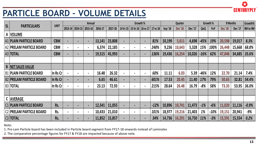

#### **PARTICLE BOARD – VOLUME DETAILS**

| SL    |                                 | <b>UNIT</b>       |                |                | <b>Annual</b>  |         |         | Growth %                       |                |             |         | Quarter        |         |            | Growth % |                | 9 Months | Growth%  |
|-------|---------------------------------|-------------------|----------------|----------------|----------------|---------|---------|--------------------------------|----------------|-------------|---------|----------------|---------|------------|----------|----------------|----------|----------|
|       | <b>PARTICULARS</b>              |                   | 2013-14        | 2014-15        | 2015-16        | 2016-17 | 2017-18 | 14 Vs 15   15 Vs 16   16 vs 17 |                | $ 17$ vs 18 | Sep '18 | <b>Dec</b> '18 | Dec '17 | QoQ        | YoY      | <b>Dec</b> '18 | Dec '17  | 9M to 9M |
|       | A  VOLUME                       |                   |                |                |                |         |         |                                |                |             |         |                |         |            |          |                |          |          |
|       | <b>A1 PLAIN PARTICLE BOARD</b>  | <b>CBM</b>        | $\blacksquare$ | $\blacksquare$ | $\blacksquare$ | 13,141  | 23,808  |                                | $\blacksquare$ | 81%         | 10,199  | 5,611          | 4,698   | $-45%$     | 19%      | 20,598         | 19,017   | 8.3%     |
|       | A2 PRELAM PARTICLE BOARD        | <b>CBM</b>        | $\blacksquare$ | $\blacksquare$ | $\blacksquare$ | 6,374   | 22,185  | $\blacksquare$                 | $\blacksquare$ | 248%        | 9,236   | 10,643         | 5,328   | 15%        | 100%     | 26,448         | 15,668   | 68.8%    |
|       | A3 <b>TOTAL</b>                 | <b>CBM</b>        | $\blacksquare$ |                | $\blacksquare$ | 19,515  | 45,993  |                                | $\blacksquare$ | 136%        | 19,436  | 16,254         | 10,026  | $-16%$     | 62%      | 47,046         | 34,685   | 35.6%    |
|       |                                 |                   |                |                |                |         |         |                                |                |             |         |                |         |            |          |                |          |          |
| B     | <b>NET SALES VALUE</b>          |                   |                |                |                |         |         |                                |                |             |         |                |         |            |          |                |          |          |
|       | <b>B1 PLAIN PARTICLE BOARD</b>  | In Rs Cr          |                | $\blacksquare$ | $\blacksquare$ | 16.48   | 26.32   | $\bullet$                      | $\blacksquare$ | 60%         | 11.11   | 6.03           | 5.39    | -46%       | 12%      | 22.70          | 21.14    | 7.4%     |
|       | <b>B2 PRELAM PARTICLE BOARD</b> | $\ln$ Rs Cr $\ln$ | $\blacksquare$ | $\blacksquare$ | $\blacksquare$ | 6.65    | 46.61   |                                | $\blacksquare$ | 601%        | 17.53   | 20.45          | 11.40   | 17%        | 79%      | 50.65          | 32.81    | 54.4%    |
|       | B3   <b>TOTAL</b>               | In Rs Cr          |                | $\blacksquare$ | $\blacksquare$ | 23.13   | 72.93   |                                |                | 215%        | 28.64   | 26.48          | 16.79   | $-8%$      | 58%      | 73.35          | 53.95    | 36.0%    |
|       |                                 |                   |                |                |                |         |         |                                |                |             |         |                |         |            |          |                |          |          |
|       | C AVERAGE                       |                   |                |                |                |         |         |                                |                |             |         |                |         |            |          |                |          |          |
|       | <b>C1 PLAIN PARTICLE BOARD</b>  | Rs.               | $\blacksquare$ | $\blacksquare$ | $\blacksquare$ | 12,541  | 11,055  |                                | $\blacksquare$ | $-12%$      | 10,896  | 10,741         | 11,473  | $-1%$      | $-6%$    | 11,020         | 11,116   | $-0.9%$  |
|       | <b>C2 PRELAM PARTICLE BOARD</b> | Rs.               |                | $\blacksquare$ | $\blacksquare$ | 10,433  | 21,010  |                                | $\blacksquare$ | 101%        | 18,977  | 19,216         | 21,403  | 1%         | $-10%$   | 19,151         | 20,941   | $-9%$    |
|       | $C3$ TOTAL                      | Rs.               |                | $\blacksquare$ | $\blacksquare$ | 11,852  | 15,857  | $\blacksquare$                 | $\blacksquare$ | 34%         | 14,736  | 16,291         | 16,750  | <b>11%</b> | $-3%$    | 15,591         | 15,554   | 0.2%     |
| Note: |                                 |                   |                |                |                |         |         |                                |                |             |         |                |         |            |          |                |          |          |

Note:

1. Pre-Lam Particle board has been included in Particle board segment from FY17-18 onwards instead of Laminates

2. The comparative percentage figures for FY17 & FY18 are impacted because of above note.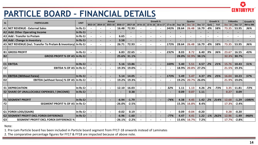

## **PARTICLE BOARD – FINANCIAL DETAILS**

|                | <b>PARTICLE BOARD - FINANCIAL DETAILS</b>                      |             |                          |                          |                          |          |         |                          |                            |          |          |                |                          |         |       |             |                |                | <b>CENTURYPLY</b> |
|----------------|----------------------------------------------------------------|-------------|--------------------------|--------------------------|--------------------------|----------|---------|--------------------------|----------------------------|----------|----------|----------------|--------------------------|---------|-------|-------------|----------------|----------------|-------------------|
| <b>SL</b>      | <b>PARTICULARS</b>                                             | <b>UNIT</b> |                          |                          | Annual                   |          |         |                          |                            | Growth % |          |                | Quarter                  |         |       | Growth %    | 9 Months       |                | Growth %          |
|                |                                                                |             | 2013-14                  |                          | 2014-15 2015-16          | 2016-17  | 2017-18 |                          | 14 Vs 15 15 Vs 16 16 vs 17 |          | 17 vs 18 | <b>Sep</b> '18 | <b>Dec</b> '18           | Dec '17 | QoQ   | YoY         | <b>Dec</b> '18 | <b>Dec</b> '17 | 9M to 9M          |
| A1             | NET REVENUE - External Sales                                   | In Rs Cr    |                          |                          |                          | 16.48    | 72.93   |                          |                            |          | 343%     | 28.64          | 26.48                    | 16.79   | $-8%$ | 58%         | 73.35          | 53.95          | 36%               |
|                | A2 Add: Other Operating Income                                 | In Rs Cr    |                          | $\overline{\phantom{a}}$ | $\overline{\phantom{0}}$ |          |         | $\overline{\phantom{a}}$ |                            |          |          |                | $\overline{\phantom{a}}$ |         |       |             |                |                |                   |
|                | A3 Add: Transfer to Prelam                                     | In Rs Cr    |                          |                          |                          | 6.65     |         |                          |                            |          |          |                |                          |         |       |             |                |                |                   |
|                | A4   Add : Change in Inventory                                 | In Rs Cr    |                          |                          |                          | 3.58     |         |                          |                            |          |          |                |                          |         |       |             |                |                |                   |
|                | A5 NET REVENUE (Incl. Transfer To Prelam & Inventory) In Rs Cr |             |                          |                          |                          | 26.71    | 72.93   |                          |                            |          | 173%     | 28.64          | 26.48                    | 16.79   | $-8%$ | 58%         | 73.35          | 53.95          | 36%               |
|                |                                                                |             |                          |                          |                          |          |         |                          |                            |          |          |                |                          |         |       |             |                |                |                   |
|                | <b>B1 GROSS PROFIT</b>                                         | In Rs Cr    |                          |                          |                          | 6.83     | 22.65   |                          |                            |          | 232%     | 8.03           | 8.72                     | 6.40    | 9%    | 36%         | 23.67          | 16.55          | 43%               |
| <b>B2</b>      | <b>GROSS PROFIT % OF A5 In Rs Cr</b>                           |             |                          |                          |                          | 25.6%    | 31.1%   |                          |                            |          |          | 28.0%          | 32.9%                    | 38.1%   |       |             | 32.3%          | 30.7%          |                   |
|                |                                                                |             |                          |                          |                          |          |         |                          |                            |          |          |                |                          |         |       |             |                |                |                   |
|                | C1 EBITDA                                                      | In Rs Cr    | $\blacksquare$           |                          |                          | 5.16     | 13.86   |                          |                            |          | 169%     | 5.40           | 5.51                     | 4.57    | 2%    | 21%         | 15.76          | 10.43          | 51%               |
| C <sub>2</sub> | <b>EBITDA % OF A5</b>                                          | In Rs Cr    | $\overline{\phantom{0}}$ | $\overline{\phantom{a}}$ |                          | 19.3%    | 19.0%   |                          |                            |          |          | 18.9%          | 20.8%                    | 27.2%   |       |             | 21.5%          | 19.3%          |                   |
|                |                                                                |             |                          |                          |                          |          |         |                          |                            |          |          |                |                          |         |       |             |                |                |                   |
|                | D1 EBITDA (Without Forex)                                      | In Rs Cr    | $\blacksquare$           |                          |                          | 5.14     | 14.05   |                          |                            |          | 173%     | 5.49           | 5.47                     | 4.37    | 0%    | 25%         | 16.04          | 10.23          | 57%               |
| D <sub>2</sub> | <b>EBITDA (without forex) % OF A5</b>                          | In Rs Cr    |                          |                          |                          | 19.2%    | 19.3%   |                          |                            |          |          | 19.2%          | 20.7%                    | 26.0%   |       |             | 21.9%          | 19.0%          |                   |
|                |                                                                |             |                          |                          |                          |          |         |                          |                            |          |          |                |                          |         |       |             |                |                |                   |
|                | <b>E1 DEPRECIATION</b>                                         | In Rs Cr    |                          | $\overline{\phantom{a}}$ |                          | 12.10    | 16.03   |                          | $\overline{\phantom{0}}$   |          | 32%      | 1.11           | 1.13                     | 4.26    | 2%    | $-73%$      | 3.35           | 11.81          | $-72%$            |
|                | <b>E2 SHARE OF UNALLOCABLE EXPENSES / (INCOME)</b>             | In Rs Cr    |                          |                          |                          |          | 0.38    |                          |                            |          |          | 0.09           | 0.07                     | 1.11    |       |             | 0.27           | 0.09           |                   |
|                |                                                                |             |                          |                          |                          |          |         |                          |                            |          |          |                |                          |         |       |             |                |                |                   |
|                | <b>F1 SEGMENT PROFIT</b>                                       | In Rs Cr    |                          |                          |                          | $-6.94$  | $-1.79$ |                          |                            |          | $-74%$   | 4.38           | 4.45                     | 1.42    | 2%    | 214%        | 12.68          | $-1.29$        | $-1080%$          |
| F <sub>2</sub> | <b>SEGMENT PROFIT % OF A5</b>                                  | In Rs Cr    |                          |                          |                          | $-26.0%$ | $-2.5%$ |                          |                            |          |          | 15.3%          | 16.8%                    | 8.4%    |       |             | 17.3%          | $-2.4%$        |                   |
|                |                                                                |             |                          |                          |                          |          |         |                          |                            |          |          |                |                          |         |       |             |                |                |                   |
|                | G1   FOREX LOSS/(GAIN)                                         | In Rs Cr    |                          | $\overline{\phantom{a}}$ |                          | $-0.02$  | 0.19    |                          |                            |          |          | 0.09           | $-0.04$                  | $-0.20$ |       |             | 0.28           | $-0.20$        |                   |
|                | G2 SEGMENT PROFIT EXCL FOREX DIFFERENCE                        | In Rs Cr    |                          |                          |                          | $-6.96$  | $-1.60$ |                          |                            |          | $-77%$   | 4.47           | 4.41                     | 1.22    |       | $-1\%$ 262% | 12.96          | $-1.49$        | $-968%$           |
| G <sub>3</sub> | <b>SEGMENT PROFIT EXCL FOREX DIFFERENCE %</b>                  |             |                          |                          |                          | $-26.1%$ | $-2.2%$ |                          |                            |          |          | 15.6%          | 16.7%                    | 7.2%    |       |             | 17.7%          | $-2.8%$        |                   |

Note:

1. Pre-Lam Particle board has been included in Particle board segment from FY17-18 onwards instead of Laminates

2. The comparative percentage figures for FY17 & FY18 are impacted because of above note.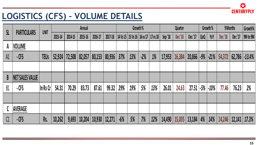

## **LOGISTICS (CFS) – VOLUME DETAILS**

|              |                    | UNIT        |         |         | Annual  |         |         |       | Growth %                                  |       |     |         | Quarter |                     |       | Growth % |         | 9 Months | Growth%           |
|--------------|--------------------|-------------|---------|---------|---------|---------|---------|-------|-------------------------------------------|-------|-----|---------|---------|---------------------|-------|----------|---------|----------|-------------------|
| <b>SL</b>    | <b>PARTICULARS</b> |             | 2013-14 | 2014-15 | 2015-16 | 2016-17 | 2017-18 |       | 14 Vs 15   15 Vs 16   16 vs 17   17 vs 18 |       |     | Sep '18 | Dec '18 | Dec <sup>'</sup> 17 | QoQ   | YoY      | Dec '18 | Dec'17   | 9M to 9M          |
| $\mathsf{A}$ | <b>VOLUME</b>      |             |         |         |         |         |         |       |                                           |       |     |         |         |                     |       |          |         |          |                   |
| A1           | $-CFS$             | <b>TEUs</b> | 52,924  | 72,508  | 82,057  | 80,153  | 80,936  | 37%   | 13%                                       | $-2%$ | 1%  | 17,953  | 16,384  | 20,866              | $-9%$ | $-21%$   | 54,372  |          | $62,786$ $-13.4%$ |
|              |                    |             |         |         |         |         |         |       |                                           |       |     |         |         |                     |       |          |         |          |                   |
| B            | NET SALES VALUE    |             |         |         |         |         |         |       |                                           |       |     |         |         |                     |       |          |         |          |                   |
| B1           | $-CFS$             | $\ln$ Rs Cr | 54.31   | 70.29   | 83.73   | 87.61   | 99.32   | 29%   | 19%                                       | 5%    | 13% | 26.01   | 24.63   | 27.51               | $-5%$ | $-10%$   | 77.46   | 76.23    | 2%                |
|              |                    |             |         |         |         |         |         |       |                                           |       |     |         |         |                     |       |          |         |          |                   |
| $\mathbf{C}$ | AVERAGE            |             |         |         |         |         |         |       |                                           |       |     |         |         |                     |       |          |         |          |                   |
| C1           | $-CFS$             | Rs.         | 10,262  | 9,693   | 10,204  | 10,930  | 12,271  | $-6%$ | 5%                                        | 7%    | 12% | 14,490  | 15,035  | 13,184              | 4%    | 14%      | 14,246  | 12,141   | 17.3%             |
|              |                    |             |         |         |         |         |         |       |                                           |       |     |         |         |                     |       |          |         |          |                   |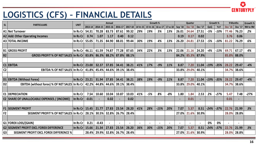

## **LOGISTICS (CFS) – FINANCIAL DETAILS**

|                | <b>LOGISTICS (CFS) - FINANCIAL DETAILS</b>                            |             |                |                |                |                               |                |          |          |          |          |                |                   |                |        |          |                |          | <b>CENTURYPIY</b> |
|----------------|-----------------------------------------------------------------------|-------------|----------------|----------------|----------------|-------------------------------|----------------|----------|----------|----------|----------|----------------|-------------------|----------------|--------|----------|----------------|----------|-------------------|
| <b>SL</b>      | <b>PARTICULARS</b>                                                    | <b>UNIT</b> |                |                | Annual         |                               |                |          | Growth % |          |          |                | <b>Quarter</b>    |                |        | Growth % |                | 9 Months | Growth %          |
|                |                                                                       |             | 2013-14        | 2014-15        | 2015-16        | 2016-17                       | 2017-18        | 14 Vs 15 | 15 Vs 16 | 16 vs 17 | 17 vs 18 | Sep '18        | <b>Dec</b> '18    | Dec '17        | QoQ    | YoY      | <b>Dec</b> '18 | Dec '17  | 9M to 9M          |
|                | A1 Net Turnover                                                       | In Rs Cr    | 54.31          | 70.28          | 83.73          | 87.61                         | 99.32          | 29%      | 19%      | 5%       | 13%      | 26.01          | 24.64             | 27.51          | $-5%$  | -10%     | 77.46          | 76.23    | 2%                |
|                | A2 Add: Other Operating Incomes                                       | In Rs Cr    | 0.74           | 1.07           | 1.17           | 0.40                          | 0.12           |          |          |          |          | 0.19           | 0.17              | 0.02           |        |          | 3.76           | 0.06     |                   |
|                | A3 TOTAL INCOME                                                       | In Rs Cr    | 55.05          | 71.35          | 84.90          | 88.01                         | 99.44          | 30%      | 19%      | 4%       | 13%      | 26.20          | 24.81             | 27.53          | $-5%$  | $-10%$   | 81.22          | 76.29    | 6%                |
|                |                                                                       |             |                |                |                |                               |                |          |          | 3%       |          |                |                   |                | $-4%$  |          |                | 67.17    | 4%                |
| <b>B2</b>      | <b>B1 GROSS PROFIT</b><br><b>GROSS PROFIT % OF NET SALES In Rs Cr</b> | In Rs Cr    | 46.11<br>83.8% | 61.59<br>86.3% | 74.87<br>88.2% | 77.28<br>87.8%                | 87.65<br>88.1% | 34%      | 22%      |          | 13%      | 22.06<br>84.2% | 21.16<br>85.3%    | 24.20<br>87.9% |        | -13%     | 69.71<br>85.8% | 88.0%    |                   |
|                |                                                                       |             |                |                |                |                               |                |          |          |          |          |                |                   |                |        |          |                |          |                   |
|                | $CI$ EBITDA                                                           | In Rs Cr    | 23.00          | 32.37          | 37.85          | 34.41                         | 38.21          | 41%      | 17%      | $-9%$    | 11%      | 8.87           | 7.20              | 11.04          | $-19%$ | $-35%$   | 28.22          | 29.47    | $-4%$             |
| C <sub>2</sub> | <b>EBITDA % OF NET SALES In Rs Cr</b>                                 |             | 41.8%          | 45.4%          | 44.6%          | 39.1%                         | 38.4%          |          |          |          |          | 33.8%          | 29.0%             | 40.1%          |        |          | 34.7%          | 38.6%    |                   |
|                |                                                                       |             |                |                |                |                               |                |          |          |          |          |                |                   |                |        |          |                |          |                   |
|                | D1 EBITDA (Without Forex)                                             | In Rs Cr    | 23.21          | 31.94          | 37.85          | 34.41                         | 38.21          | 38%      | 19%      | $-9%$    | 11%      | 8.87           | 7.20              | 11.04          | $-19%$ | $-35%$   | 28.22          | 29.47    | $-4%$             |
| D <sub>2</sub> | EBITDA (without forex) % OF NET SALES   In Rs Cr                      |             | 42.2%          | 44.8%          | 44.6%          | 39.1%                         | 38.4%          |          |          |          |          | 33.8%          | 29.0%             | 40.1%          |        |          | 34.7%          | 38.6%    |                   |
|                |                                                                       |             |                |                |                |                               |                |          |          |          |          |                |                   |                |        |          |                |          |                   |
|                | <b>E1 DEPRECIATION</b>                                                | In Rs Cr    | 7.54           | 10.60          | 10.04          | 10.87                         | 10.03          | 41%      | $-5%$    | 8%       | $-8%$    | 1.80           | 1.84              | 2.53           | 2%     | $-27%$   | 5.47           | 7.48     | $-27%$            |
|                | <b>E2 SHARE OF UNALLOCABLE EXPENSES / (INCOME)</b>                    | In Rs Cr    | $-0.01$        |                | 0.02           |                               | 0.02           |          |          |          |          |                | 0.01              |                |        |          | 0.01           |          |                   |
|                |                                                                       |             |                |                |                |                               |                |          |          |          |          |                |                   |                |        |          |                |          |                   |
| F1             | <b>SEGMENT PROFIT</b>                                                 | In Rs Cr    | 15.45          | 21.77          | 27.83          | 23.54                         | 28.20          | 41%      | 28%      | $-15%$   | 20%      | 7.07           | 5.37              | 8.51           | $-24%$ | $-37%$   | 22.76          | 21.99    | 3%                |
| F <sub>2</sub> | SEGMENT PROFIT % OF NET SALES In Rs Cr 28.1% 30.5% 32.8% 26.7% 28.4%  |             |                |                |                |                               |                |          |          |          |          | 27.0%          | 21.6% 30.9%       |                |        |          | 28.0%          | 28.8%    |                   |
|                |                                                                       |             |                |                |                |                               |                |          |          |          |          |                |                   |                |        |          |                |          |                   |
|                | G1   FOREX LOSS/(GAIN)                                                | In Rs Cr    | 0.21           | $-0.43$        |                |                               |                |          |          |          |          |                |                   |                | 0%     | 0%       |                |          |                   |
|                | <b>G2 SEGMENT PROFIT EXCL FOREX DIFFERENCE</b>                        | In Rs Cr    | 15.66          | 21.34          | 27.83          | 23.54                         | 28.20          | 36%      | 30%      | $-15%$   | 20%      | 7.07           | 5.37              | 8.51           | $-24%$ | -37%     | 22.76          | 21.99    | 3%                |
| G <sub>3</sub> | <b>SEGMENT PROFIT EXCL FOREX DIFFERENCE %</b>                         |             |                |                |                | 28.4% 29.9% 32.8% 26.7% 28.4% |                |          |          |          |          |                | 27.0% 21.6% 30.9% |                |        |          | 28.0%          | 28.8%    |                   |
|                |                                                                       |             |                |                |                |                               |                |          |          |          |          |                |                   |                |        |          |                |          |                   |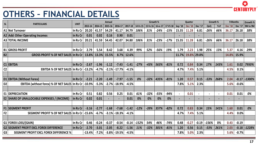#### **OTHERS – FINANCIAL DETAILS**

|                                                                 |             |          |         |         |                    |         |          |          |          |          |                |                |                |          |      |                |          | 23       |
|-----------------------------------------------------------------|-------------|----------|---------|---------|--------------------|---------|----------|----------|----------|----------|----------------|----------------|----------------|----------|------|----------------|----------|----------|
| <b>OTHERS - FINANCIAL DETAILS</b>                               |             |          |         |         |                    |         |          |          |          |          |                |                |                |          |      |                |          | TURYPLY  |
| <b>SL</b><br><b>PARTICULARS</b>                                 | <b>UNIT</b> |          |         | Annual  |                    |         |          | Growth % |          |          |                | <b>Quarter</b> |                | Growth % |      |                | 9 Months | Growth % |
|                                                                 |             | 2013-14  | 2014-15 | 2015-16 | 2016-17            | 2017-18 | 14 Vs 15 | 15 Vs 16 | 16 vs 17 | 17 VS 18 | Sep '18        | <b>Dec</b> '18 | Dec '17        | QoQ      | YoY  | <b>Dec</b> '18 | Dec '17  | 9M to 9M |
| A1 Net Turnover                                                 | In Rs Cr    | 20.20    | 41.57   | 54.29   | 41.17              | 34.79   | 106%     | 31%      | $-24%$   | $-15%$   | 15.35          | 11.28          | 6.81           | $-26%$   | 66%  | 36.17          | 26.18    | 38%      |
| <b>A2 Add: Other Operating Incomes</b>                          | In Rs Cr    | 0.01     | 0.02    | 0.16    | 0.90               | 0.01    |          |          |          |          |                |                |                |          |      |                |          |          |
| <b>A3 TOTAL INCOME</b>                                          | In Rs Cr    | 20.21    | 41.59   | 54.45   | 42.07              | 34.80   | 106%     | 31%      | $-23%$   | $-17%$   | 15.35          | 11.28          | 6.81           | $-26%$   | 66%  | 36.17          | 26.18    | 38%      |
|                                                                 |             |          |         |         |                    |         |          |          |          |          |                |                |                |          |      |                |          |          |
| <b>B1 GROSS PROFIT</b>                                          | In Rs Cr    | 2.79     | 5.54    | 8.42    | 3.68               | 4.39    | 99%      | 52%      | $-56%$   | 19%      | 1.79           | 2.23           | 1.98           | 25%      | 13%  | 5.37           | 4.16     | 29%      |
| <b>B2</b><br><b>GROSS PROFIT % OF NET SALES</b>                 | In Rs Cr    | 13.8%    | 13.3%   | 15.5%   | 8.7%               | 12.6%   |          |          |          |          | 11.7%          | 19.8%          | 29.0%          |          |      | 14.8%          | 15.9%    |          |
|                                                                 |             |          |         |         |                    |         |          |          |          |          |                |                |                |          |      |                |          |          |
| C1 EBITDA                                                       | In Rs Cr    | $-2.67$  | $-1.96$ | $-1.12$ | $-7.43$            | $-1.41$ | $-27%$   | $-43%$   | 563%     | $-81%$   | 0.72           | 0.84           | 0.34           | 17%      | 143% | 1.61           | 0.02     | 7950%    |
| C <sub>2</sub><br><b>EBITDA % OF NET SALES</b>                  | In Rs Cr    | $-13.2%$ | $-4.7%$ | $-2.1%$ | $-17.7%$           | $-4.1%$ |          |          |          |          | 4.7%           | 7.4%           | 5.1%           |          |      | 4.5%           | 0.1%     |          |
|                                                                 |             |          |         |         |                    |         |          |          |          |          |                |                |                |          |      |                |          |          |
| D <sub>1</sub><br><b>EBITDA (Without Forex)</b>                 | In Rs Cr    | $-2.21$  | $-2.20$ | $-1.49$ | $-7.97$            | $-1.55$ | 0%       | $-32%$   | 435%     | $-81%$   | 1.20           | 0.57           | 0.15           | $-53%$   | 268% | 2.04           | $-0.17$  | $-1300%$ |
| <b>EBITDA (without forex) % OF NET SALES</b><br>D <sub>2</sub>  | In Rs Cr    | $-10.9%$ | $-5.3%$ | $-2.7%$ | $-18.9%$           | $-4.5%$ |          |          |          |          | 7.8%           | 5.1%           | 2.3%           |          |      | 5.6%           | $-0.6%$  |          |
| <b>E1 DEPRECIATION</b>                                          | In Rs Cr    | 0.51     | 0.82    | 0.56    | 0.25               | 0.01    | 61%      | $-32%$   | $-55%$   | -94%     | $\blacksquare$ | 0.01           | $\blacksquare$ |          |      | 0.01           | 0.01     | 0%       |
| <b>E2 SHARE OF UNALLOCABLE EXPENSES / (INCOME)</b>              | In Rs Cr    | 0.02     | 0.01    |         |                    | 0.01    | 0%       | 0%       | 0%       | 0%       | $\blacksquare$ |                |                |          |      |                |          |          |
|                                                                 |             |          |         |         |                    |         |          |          |          |          |                |                |                |          |      |                |          |          |
| <b>F1 SEGMENT PROFIT</b>                                        | In Rs Cr    | $-3.16$  | $-2.77$ | $-1.68$ | $-7.68$            | $-1.42$ | $-12%$   | $-39%$   | 357%     | $-82%$   | 0.72           | 0.83           | 0.34           | 15%      | 141% | 1.60           | 0.01     | 0%       |
| F <sub>2</sub><br>SEGMENT PROFIT % OF NET SALES In Rs Cr -15.6% |             |          | $-6.7%$ | $-3.1%$ | $-18.3%$           | $-4.1%$ |          |          |          |          | 4.7%           | 7.4%           | 5.1%           |          |      | 4.4%           | 0.0%     |          |
|                                                                 |             |          |         |         |                    |         |          |          |          |          |                |                |                |          |      |                |          |          |
| <b>G1 FOREX LOSS/(GAIN)</b>                                     | In Rs Cr    | 0.46     | $-0.24$ | $-0.37$ | $-0.54$            | $-0.14$ | $-152%$  | 54%      | 46%      | $-74%$   | 0.48           | $-0.27$        | $-0.19$        | $-156%$  | 0%   | 0.43           | $-0.19$  |          |
| <b>G2 SEGMENT PROFIT EXCL FOREX DIFFERENCE</b>                  | $\ln$ Rs Cr | $-2.70$  | $-3.01$ | $-2.05$ | $-8.22$            | $-1.56$ | 11%      | $-32%$   | 301%     | $-81%$   | 1.20           | 0.56           | 0.15           | $-53%$   | 261% | 2.03           | $-0.18$  | $-1228%$ |
| G <sub>3</sub><br><b>SEGMENT PROFIT EXCL FOREX DIFFERENCE %</b> |             | $-13.4%$ | $-7.2%$ |         | $-3.8\%$ $-19.5\%$ | $-4.5%$ |          |          |          |          | 7.8%           | 5.0%           | 2.3%           |          |      | 5.6%           | $-0.7%$  |          |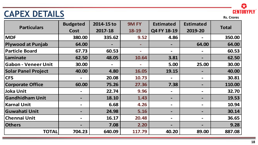# **CAPEX DETAILS CAPEX DETAILS**



|                            | <b>Budgeted</b>              | 2014-15 to | <b>9M FY</b> | <b>Estimated</b> | <b>Estimated</b>             |              |
|----------------------------|------------------------------|------------|--------------|------------------|------------------------------|--------------|
| <b>Particulars</b>         | Cost                         | 2017-18    | 18-19        | Q4 FY 18-19      | 2019-20                      | <b>Total</b> |
| <b>MDF</b>                 | 380.00                       | 335.62     | 9.52         | 4.86             |                              | 350.00       |
| <b>Plywood at Punjab</b>   | 64.00                        |            |              |                  | 64.00                        | 64.00        |
| <b>Particle Board</b>      | 67.73                        | 60.53      |              |                  | $\qquad \qquad =$            | 60.53        |
| Laminate                   | 62.50                        | 48.05      | 10.64        | 3.81             | $\overline{\phantom{m}}$     | 62.50        |
| <b>Gabon - Veneer Unit</b> | 30.00                        |            |              | 5.00             | 25.00                        | 30.00        |
| <b>Solar Panel Project</b> | 40.00                        | 4.80       | 16.05        | 19.15            | $\qquad \qquad$              | 40.00        |
| <b>CFS</b>                 | $\qquad \qquad \blacksquare$ | 20.08      | 10.73        |                  | $\blacksquare$               | 30.81        |
| <b>Corporate Office</b>    | 60.00                        | 75.26      | 27.36        | 7.38             |                              | 110.00       |
| <b>Joka Unit</b>           | $\qquad \qquad \blacksquare$ | 22.74      | 9.96         |                  | $\blacksquare$               | 32.70        |
| <b>Gandhidham Unit</b>     | $\blacksquare$               | 18.10      | 1.43         |                  | $\qquad \qquad \blacksquare$ | 19.53        |
| <b>Karnal Unit</b>         | $\blacksquare$               | 6.68       | 4.26         |                  | $\blacksquare$               | 10.94        |
| <b>Guwahati Unit</b>       |                              | 24.98      | 5.16         |                  |                              | 30.14        |
| <b>Chennai Unit</b>        | $\qquad \qquad \blacksquare$ | 16.17      | 20.48        |                  | $\blacksquare$               | 36.65        |
| <b>Others</b>              |                              | 7.08       | 2.20         |                  |                              | 9.28         |
| <b>TOTAL</b>               | 704.23                       | 640.09     | 117.79       | 40.20            | 89.00                        | 887.08       |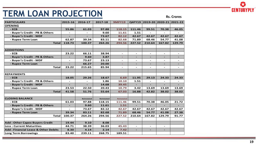# **TERM LOAN PROJECTION**

**Rs. Crores**

| <b>PARTICULARS</b>                             | 2015-16                  | 2016-17                  | 2017-18    | <b>9MFY19</b>            |                          |                          | Q4FY19 2019-20 2020-21 2021-22 |                          |
|------------------------------------------------|--------------------------|--------------------------|------------|--------------------------|--------------------------|--------------------------|--------------------------------|--------------------------|
| <b>OPENING</b>                                 |                          |                          |            |                          |                          |                          |                                |                          |
| - ECB                                          | 55.86                    | 61.03                    | 97.88      | 118.15                   | 111.46                   | 99.51                    | 70.38                          | 46.05                    |
| - Buyer's Credit - PB & Others                 |                          | $\overline{\phantom{a}}$ | 9.60       | 11.61                    | 1.51                     | $\blacksquare$           | $\overline{\phantom{a}}$       | $\overline{\phantom{a}}$ |
| - Buyer's Credit - MDF                         | $\overline{\phantom{a}}$ |                          | 73.67      | 82.12                    | 42.67                    | 42.67                    | 42.67                          | 42.67                    |
| - Rupee Term Loan                              | 62.87                    | 39.34                    | 83.11      | 82.68                    | 71.89                    | 68.46                    | 54.77                          | 41.08                    |
| <b>Total</b>                                   | 118.73                   | 100.37                   | 264.26     | 294.56                   | 227.52                   | 210.64                   | 167.82                         | 129.79                   |
|                                                |                          |                          |            |                          |                          |                          |                                |                          |
| <b>ADDIDTIONS</b>                              |                          |                          |            |                          |                          |                          |                                |                          |
| - ECB                                          | 23.22                    | 66.11                    | 38.94      | $\overline{\phantom{a}}$ | $\overline{\phantom{a}}$ | $\overline{\phantom{0}}$ | $\overline{\phantom{a}}$       | $\overline{\phantom{a}}$ |
| - Buyer's Credit - PB & Others                 | $\overline{\phantom{0}}$ | 9.60                     | 3.87       | ٠                        | $\blacksquare$           | $\overline{\phantom{0}}$ | -                              | $\blacksquare$           |
| - Buyer's Credit - MDF                         | $\overline{\phantom{a}}$ | 73.67                    | 23.13      | $\overline{\phantom{a}}$ | $\overline{\phantom{a}}$ | $\overline{\phantom{0}}$ | $\overline{\phantom{a}}$       | $\overline{\phantom{a}}$ |
| - Rupee Term Loan                              |                          | 66.27                    | 20.00      |                          |                          |                          |                                |                          |
| <b>Total</b>                                   | 23.22                    | 215.65                   | 85.94      | $\sim$                   | $\blacksquare$           | $\overline{\phantom{0}}$ | $\blacksquare$                 | $\blacksquare$           |
|                                                |                          |                          |            |                          |                          |                          |                                |                          |
| <b>REPAYMENTS</b>                              |                          |                          |            |                          |                          |                          |                                |                          |
| - ECB                                          | 18.05                    | 29.26                    | 18.67      | 6.69                     | 11.95                    | 29.13                    | 24.33                          | 24.33                    |
| - Buyer's Credit - PB & Others                 | $\qquad \qquad -$        |                          | 1.86       | 10.10                    | 1.51                     | $\overline{\phantom{0}}$ | $\overline{\phantom{a}}$       | $\overline{\phantom{a}}$ |
| - Buyer's Credit - MDF                         |                          |                          | 14.68      | 39.45                    |                          |                          |                                |                          |
| - Rupee Term Loan                              | 23.53                    | 22.50                    | 20.43      | 10.79                    | 3.42                     | 13.69                    | 13.69                          | 13.69                    |
| <b>Total</b>                                   | 41.58                    | 51.76                    | 55.64      | 67.03                    | 16.88                    | 42.82                    | 38.02                          | 38.02                    |
|                                                |                          |                          |            |                          |                          |                          |                                |                          |
| <b>CLOSING BALANCE</b>                         |                          | Reinstated               | Reinstated | <b>Reinstated</b>        |                          |                          |                                |                          |
| $-ECB$                                         | 61.03                    | 97.88                    | 118.15     | 111.46                   | 99.51                    | 70.38                    | 46.05                          | 21.72                    |
| - Buyer's Credit - PB & Others                 | $\overline{\phantom{a}}$ | 9.60                     | 11.61      | 1.51                     | $\overline{\phantom{a}}$ |                          | $\overline{\phantom{a}}$       | $\overline{\phantom{0}}$ |
| - Buyer's Credit - MDF                         |                          | 73.67                    | 82.12      | 42.67                    | 42.67                    | 42.67                    | 42.67                          | 42.67                    |
| - Rupee Term Loan                              | 39.34                    | 83.11                    | 82.68      | 71.89                    | 68.46                    | 54.77                    | 41.08                          | 27.38                    |
| <b>Total</b>                                   | 100.37                   | 264.26                   | 294.56     | 227.52                   | 210.64                   | 167.82                   | 129.79                         | 91.77                    |
|                                                |                          |                          |            |                          |                          |                          |                                |                          |
| <b>Add: Other Capex Buyers Credit</b>          | 19.44                    | 9.10                     | 8.08       | ÷.                       |                          |                          |                                |                          |
| <b>Less: Current Maturities</b>                | 44.71                    | 38.39                    | 36.03      | 45.43                    | $\overline{\phantom{a}}$ | $\overline{\phantom{0}}$ | $\overline{\phantom{a}}$       |                          |
| <b>Add: Financial Lease &amp; Other Debits</b> | 8.30                     | 4.14                     | 2.14       | 7.42                     | $\overline{\phantom{0}}$ |                          |                                |                          |
| Long Term Borrowings                           | 83.40                    | 239.11                   | 268.75     | 189.51                   |                          |                          |                                |                          |

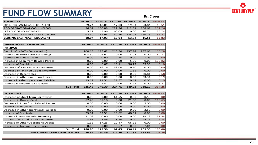# **FUND FLOW SUMMARY**

**Rs. Crores**

| <b>SUMMARY</b>                        | <b>FY 2014</b> |        | FY 2015   FY 2016   FY 2017   FY 2018   9MFY19 |        |        |        |
|---------------------------------------|----------------|--------|------------------------------------------------|--------|--------|--------|
| <b>OPENING CASH/CASH EQUIALENT</b>    | 79.74          | 18.04  | 17.03                                          | 19.04  | 53.84  | 16.51  |
| <b>ADD OPERATIONAL CASH INFLOW</b>    | 36.62          | 160.89 | 222.26                                         | 212.81 | 158.69 | 207.26 |
| <b>LESS DIVIDEND PAYMENTS</b>         | 5.72           | 45.96  | 60.09                                          | 0.00   | 26.74  | 26.74  |
| <b>LESS LONG TERM NET CASH OUTLOW</b> | 92.60          | 115.94 | 160.16                                         | 178.01 | 169.28 | 183.21 |
| <b>CLOSING CASH/CASH EQUIALENT</b>    | 18.04          | 17.03  | 19.04                                          | 53.84  | 16.51  | 13.83  |

| <b>OPERATIONAL CASH FLOW</b>              | <b>FY 2014</b> | <b>FY 2015</b> | <b>FY 2016</b> | <b>FY 2017</b> | <b>FY 2018</b> | <b>9MFY19</b> |
|-------------------------------------------|----------------|----------------|----------------|----------------|----------------|---------------|
| <b>INFLOWS</b>                            |                |                |                |                |                |               |
| Cash Profit (PAT + Depreciation)          | 100.18         | 195.62         | 213.54         | 237.94         | 237.68         | 160.28        |
| Increase of Short Term Borrowings         | 103.50         | 106.61         | 0.00           | 13.03          | 0.00           | 80.71         |
| <b>Increase of Buyers Credit</b>          | 0.00           | 0.00           | 17.45          | 0.00           | 1.03           | 0.00          |
| Increase in Loan from Related Parties     | 0.001          | 0.00           | 0.00           | 5.00           | 0.00           | 106.82        |
| Increase of Payables                      | 0.00           | 6.07           | 19.11          | 56.77          | 35.33          | 0.18          |
| Decrease of Raw Material Inventory        | 0.00           | 16.16          | 53.04          | 9.70           | 0.00           | 0.00          |
| Decrease of Finished Goods Inventory      | 0.00           | 0.00           | 0.00           | 1.62           | 0.00           | 0.00          |
| Decrease in Receivables                   | 0.00           | 0.00           | 0.00           | 0.00           | 20.81          | 7.68          |
| Decrease in other operational assets      | 0.00           | 0.00           | 0.00           | 0.00           | 33.34          | 3.19          |
| Increase in other operational liabilities | 19.11          | 11.51          | 21.57          | 20.41          | 0.00           | 5.19          |
| Increase in Income Tax provision          | 2.63           | 4.42           | 0.00           | 4.75           | 0.00           | 3.21          |
| <b>Sub Total</b>                          | 225.42         | 340.39         | 324.71         | 349.22         | 328.19         | 367.26        |

| <b>OUTFLOWS</b>                           | <b>FY 2014</b> | <b>FY 2015</b> | <b>FY 2016</b> | <b>FY 2017</b> | <b>FY 2018</b> | <b>9MFY19</b> |
|-------------------------------------------|----------------|----------------|----------------|----------------|----------------|---------------|
| Decrease of Short Term Borrowings         | 0.00           | 0.00           | 61.55          | 0.00           | 80.53          | 0.00          |
| Decrease in Buyers Credit                 | 67.49          | 55.18          | 0.00           | 21.58          | 0.00           | 118.63        |
| Decrease in Loan from Related Parties     | 0.00           | 0.00           | 0.00           | 0.00           | 5.00           | 0.00          |
| Decrease in Payables                      | 21.66          | 0.00           | 0.00           | 0.00           | 0.00           | 0.00          |
| Decrease in other operational liabilities | 0.00           | 0.00           | 0.00           | 0.00           | 2.58           | 0.00          |
| <b>Increase of Receivables</b>            | 23.01          | 63.51          | 18.62          | 48.51          | 0.00           | 0.00          |
| Increase in Raw Material Inventory        | 71.08          | 0.00           | 0.00           | 0.00           | 29.13          | 31.54         |
| Inrease of Finshed Goods Inventory        | 3.91           | 43.56          | 8.14           | 0.00           | 45.25          | 9.83          |
| Increase of Other Operational Assets      | 1.65           | 17.25          | 10.47          | 66.32          | 0.00           | 0.00          |
| Decrease in Income Tax provision          | 0.00           | 0.00           | 3.67           | 0.00           | 7.01           | 0.00          |
| <b>Sub Total</b>                          | 188.80         | 179.50         | 102.45         | 136.41         | 169.50         | 160.00        |
| <b>NET OPERATIONAL CASH INFLOW</b>        | 36.62          | 160.89         | 222.26         | 212.81         | 158.69         | 207.26        |

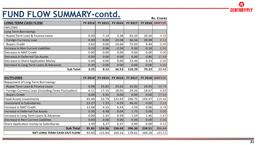# **CENTURYPLY**

### **FUND FLOW SUMMARY-contd.**

| _ _ _ _ _ _ _ _ _                      |                | -------        |                |                |                | <b>Rs. Crores</b> |
|----------------------------------------|----------------|----------------|----------------|----------------|----------------|-------------------|
| <b>LONG TERM CASH FLOW</b>             | <b>FY 2014</b> | <b>FY 2015</b> | <b>FY 2016</b> | <b>FY 2017</b> | <b>FY 2018</b> | <b>9MFY19</b>     |
| <b>INFLOWS</b>                         |                |                |                |                |                |                   |
| Long Term Borrowings                   |                |                |                |                |                |                   |
| - Rupee Term Loan & Finance Lease      | 0.00           | 7.14           | 5.38           | 65.34          | 20.50          | 4.50              |
| - Foreign Currency Loan                | 0.00           | 0.00           | 23.08          | 66.56          | 38.98          | 0.12              |
| - Buyers Credit                        | 2.62           | 0.00           | 10.66          | 72.93          | 9.44           | 0.00              |
| Increase in Non Current Liabilities    | 0.24           | 0.98           | $-2.59$        | 0.00           | 0.18           | 0.92              |
| Decrease in MAT Credit                 | 0.00           | 0.00           | 0.00           | 0.00           | 0.00           | 0.00              |
| Decrease in Deferred Tax Assets        | 0.00           | 0.00           | 0.00           | 0.00           | 0.80           | 17.89             |
| Decrease in Share Application Money    | 0.00           | 0.00           | 0.00           | 13.46          | 0.33           | 0.00              |
| Decrease in Long Term Loans & Advances | 0.39           | 0.00           | 0.00           | 0.00           | 0.00           | 0.00              |
| <b>Sub Total</b>                       | 3.25           | 8.12           | 36.53          | 218.29         | 70.23          | 23.43             |

| <b>OUTFLOWS</b>                                       | FY 2014 | <b>FY 2015</b> | <b>FY 2016</b> | <b>FY 2017</b> | <b>FY 2018</b> | <b>9MFY19</b> |
|-------------------------------------------------------|---------|----------------|----------------|----------------|----------------|---------------|
| <b>Repayment of Long Term Borrowings</b>              |         |                |                |                |                |               |
| - Rupee Term Loan & Finance Lease                     | 9.08    | 25.82          | 23.63          | 25.02          | 24.93          | 10.79         |
| - Foreign Currency Loan (Including Forex Fluctuation) | 6.11    | 17.15          | 18.05          | 29.26          | 18.67          | 6.69          |
| - Buyers Credit                                       | 0.00    | 4.92           | 0.00           | 0.00           | 0.00           | 57.63         |
| <b>Fixed Assets Investments</b>                       | 45.46   | 52.79          | 122.93         | 290.75         | 193.47         | 119.46        |
| Investment in Subsidiaries                            | 22.27   | 7.23           | 4.55           | 46.35          | 0.02           | 0.31          |
| Increase in MAT Credit                                | 11.08   | 4.15           | 6.43           | 1.59           | 0.96           | 9.78          |
| Increase in Deferred Tax Assets                       | 0.36    | 6.48           | 8.04           | 1.75           | 0.00           | 0.00          |
| Increase in Long Term Loans & Advances                | 0.00    | 1.25           | 6.59           | 1.54           | 1.46           | 1.67          |
| Decrease in Non Current Liabilities                   | 0.00    | 0.00           | 0.00           | 0.04           | 0.00           | 0.00          |
| <b>Share Application money to Subsidiaries</b>        | 1.49    | 4.27           | 6.47           | 0.00           | 0.00           | 0.31          |
| <b>Sub Total</b>                                      | 95.85   | 124.06         | 196.69         | 396.30         | 239.51         | 206.64        |
| <b>NET LONG TERM CASH OUT FLOW</b>                    | 92.60   | 115.94         | 160.16         | 178.01         | 169.28         | 183.21        |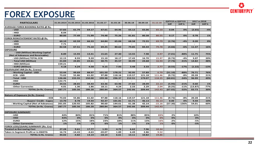# **CENTURYPLY**

# **FOREX EXPOSURE**

| <b>FOREX EXPOSURE</b><br>2017 vs 2018<br>Q3FY19 vs Q2FY19<br><b>PARTICULARS</b><br>31.03.2014 31.03.2015<br>31.03.2016<br>31.03.17<br>31.03.18<br>30.06.18<br>30.09.18<br>31.12.18<br>Diff %<br><b>Diff</b><br>Diff <sub>%</sub><br><b>Diff</b><br><b>AVERAGE FOREX BOOKING RATES @ Rs.</b><br>0.04<br>0%<br>(2.65)<br>$-4%$<br>57.83<br>61.79<br>64.17<br>67.61<br>64.96<br>65.12<br>65.06<br>65.10<br>- USD<br>- HKD<br>8.04<br>75.26<br>1%<br>- EURO<br>80.00<br>77.49<br>71.99<br>74.48<br>81.81<br>80.38<br>80.55<br>0.17<br>0%<br>0.78<br><b>FOREX REINSTATEMENT RATES @ Rs.</b><br>0%<br>- USD<br>60.10<br>62.59<br>66.33<br>64.84<br>65.04<br>68.58<br>72.55<br>69.79<br>(2.76)<br>$-4%$<br>0.20<br>7.71<br>- HKD<br>$\sim$<br>$\sim$<br>$\sim$<br>$\sim$<br>$\sim$<br>$\sim$<br>$\sim$<br>$\sim$<br>- EURO<br>82.58<br>75.10<br>80.62<br>11.37<br>16%<br>67.51<br>69.25<br>79.85<br>84.44<br>79.78<br>(4.66)<br>$-6%$<br><b>EXPOSURE</b><br>- USD (Million) Working Capital<br>27.40<br>7.98<br>0.97<br>8.89<br>15.93<br>13.41<br>15.65<br>13.55<br>(7.01)<br>$-88%$<br>11.75<br>75%<br>(Net of Advances and Receivable)<br>16.70<br>- USD (Million) TOTAL ECB<br>12.15<br>9.20<br>15.10<br>18.17<br>17.43<br>15.97<br>(0.73)<br>$-4%$<br>3.07<br>20%<br>8.93<br>- Total USD (Million)<br>22.61<br>30.75<br>45.57<br>24.68<br>$-31%$<br>14.82<br>48%<br>21.04<br>24.85<br>30.99<br>16.94<br>(7.74)<br>- HKD (Million)<br>159.21<br>$\sim$<br>4.24<br>4.58<br>9.15<br>7.93<br>3.33<br>2.77<br>(0.55)<br>$-17%$<br>(1.22)<br>$-13%$<br>- EURO (Million)<br>4.18<br>3.48<br><b>EQUIVALENT INR (In Rs. Crores)</b><br>76%<br>- Working Capital - USD<br>53.44<br>99.69<br>88.97<br>101.50<br>178.21<br>92.95<br>57.89<br>6.79<br>(51.10)<br>$-88%$<br>76.71<br>73.02<br>61.02<br>97.88<br>$-8%$<br>- ECB - USD<br>55.86<br>118.16<br>119.57<br>121.18<br>111.46<br>(9.72)<br>20.28<br>21%<br>126.46<br>$-34%$<br>49%<br>- Total - USD<br>155.55<br>150.00<br>199.38<br>296.37<br>212.51<br>179.07<br>118.25<br>(60.81)<br>96.99<br>- HKD<br>122.75<br>- EURO<br>34.55<br>34.43<br>$-21%$<br>1%<br>28.65<br>63.36<br>63.96<br>27.82<br>28.09<br>22.13<br>(5.95)<br>0.60<br>4.01<br>1.86<br>4.24<br>2.33<br>2.29<br>2.04<br>(0.25)<br>$-11%$<br>(13.87)<br>$-77%$<br>- Other Currencies<br>1.36<br>18.11<br>$-32%$<br><b>TOTAL (In Rs. Crores)</b><br>287.77<br>185.56<br>186.28<br>280.84<br>364.57<br>242.66<br>209.44<br>142.43<br>(67.02)<br>83.73<br>30%<br><b>Nature of Exposure (In Rs. Crores)</b><br>$-ECB$<br>73.02<br>61.02<br>97.88<br>118.16<br>119.57<br>121.18<br>(9.72)<br>$-8%$<br>20.28<br>21%<br>55.86<br>111.46<br>- Buyers' Credit - Capex<br>13.70<br>8.78<br>19.44<br>92.37<br>101.81<br>61.71<br>46.13<br>46.13<br>0%<br>9.44<br>10%<br>0.00<br>- Working Capital (Net of Advances)<br>201.05<br>120.92<br>105.82<br>90.60<br>144.61<br>61.38<br>42.14<br>$-15.16$<br>(57.30)<br>$-136%$<br>54.01<br>60%<br>287.77<br>364.57<br>242.66<br>209.44<br>142.43<br><b>TOTAL (In Rs. Crores)</b><br>185.56<br>186.28<br>280.84<br><b>EXPOSURE SUMMARY</b><br>- USD<br>44%<br>84%<br>81%<br>71%<br>81%<br>88%<br>85%<br>83%<br>2%<br>10%<br>- HKD<br>43%<br>0%<br>0%<br>0%<br>0%<br>0%<br>0%<br>0%<br>0%<br>0%<br>$-2%$<br>- EURO<br>12%<br>15%<br>18%<br>23%<br>18%<br>11%<br>13%<br>16%<br>$-5%$<br>0%<br>$-5%$<br>1%<br>1%<br>1%<br>6%<br>1%<br>1%<br>1%<br>1%<br>- Other Currencies<br>FOREX LOSS/(GAIN) SUMMARY (Rs. Crs)<br><b>Treated as Borrowing Cost</b><br>27.28<br>9.61<br>17.77<br>1.93<br>4.72<br>6.62<br>7.96<br>10.34<br>Taken in Segment Profit or in EBIDTA<br>16.74<br>$-4.63$<br>$-20.07$<br>1.89<br>2.86<br>9.52<br>$-14.43$<br>6.49<br>44.02<br>$-4.82$<br>13.14<br>6.61<br>10.82<br><b>TOTAL In Rs. Crores</b><br>$-18.14$<br>13.11<br>19.86 |  |  |  |  |  |  |  |  |  |  |  |  |  |
|-----------------------------------------------------------------------------------------------------------------------------------------------------------------------------------------------------------------------------------------------------------------------------------------------------------------------------------------------------------------------------------------------------------------------------------------------------------------------------------------------------------------------------------------------------------------------------------------------------------------------------------------------------------------------------------------------------------------------------------------------------------------------------------------------------------------------------------------------------------------------------------------------------------------------------------------------------------------------------------------------------------------------------------------------------------------------------------------------------------------------------------------------------------------------------------------------------------------------------------------------------------------------------------------------------------------------------------------------------------------------------------------------------------------------------------------------------------------------------------------------------------------------------------------------------------------------------------------------------------------------------------------------------------------------------------------------------------------------------------------------------------------------------------------------------------------------------------------------------------------------------------------------------------------------------------------------------------------------------------------------------------------------------------------------------------------------------------------------------------------------------------------------------------------------------------------------------------------------------------------------------------------------------------------------------------------------------------------------------------------------------------------------------------------------------------------------------------------------------------------------------------------------------------------------------------------------------------------------------------------------------------------------------------------------------------------------------------------------------------------------------------------------------------------------------------------------------------------------------------------------------------------------------------------------------------------------------------------------------------------------------------------------------------------------------------------------------------------------------------------------------------------------------------------------------------------------------------------------------------------------------------------------------------------------------------------------------------------------------------------------------------------------------------------------------------------------------------------------------------------------------------------------------------------------------------------------------------------------------------------------------------------------------------------------------------------------------------------------------------------------------------------------------------------|--|--|--|--|--|--|--|--|--|--|--|--|--|
|                                                                                                                                                                                                                                                                                                                                                                                                                                                                                                                                                                                                                                                                                                                                                                                                                                                                                                                                                                                                                                                                                                                                                                                                                                                                                                                                                                                                                                                                                                                                                                                                                                                                                                                                                                                                                                                                                                                                                                                                                                                                                                                                                                                                                                                                                                                                                                                                                                                                                                                                                                                                                                                                                                                                                                                                                                                                                                                                                                                                                                                                                                                                                                                                                                                                                                                                                                                                                                                                                                                                                                                                                                                                                                                                                                                         |  |  |  |  |  |  |  |  |  |  |  |  |  |
|                                                                                                                                                                                                                                                                                                                                                                                                                                                                                                                                                                                                                                                                                                                                                                                                                                                                                                                                                                                                                                                                                                                                                                                                                                                                                                                                                                                                                                                                                                                                                                                                                                                                                                                                                                                                                                                                                                                                                                                                                                                                                                                                                                                                                                                                                                                                                                                                                                                                                                                                                                                                                                                                                                                                                                                                                                                                                                                                                                                                                                                                                                                                                                                                                                                                                                                                                                                                                                                                                                                                                                                                                                                                                                                                                                                         |  |  |  |  |  |  |  |  |  |  |  |  |  |
|                                                                                                                                                                                                                                                                                                                                                                                                                                                                                                                                                                                                                                                                                                                                                                                                                                                                                                                                                                                                                                                                                                                                                                                                                                                                                                                                                                                                                                                                                                                                                                                                                                                                                                                                                                                                                                                                                                                                                                                                                                                                                                                                                                                                                                                                                                                                                                                                                                                                                                                                                                                                                                                                                                                                                                                                                                                                                                                                                                                                                                                                                                                                                                                                                                                                                                                                                                                                                                                                                                                                                                                                                                                                                                                                                                                         |  |  |  |  |  |  |  |  |  |  |  |  |  |
|                                                                                                                                                                                                                                                                                                                                                                                                                                                                                                                                                                                                                                                                                                                                                                                                                                                                                                                                                                                                                                                                                                                                                                                                                                                                                                                                                                                                                                                                                                                                                                                                                                                                                                                                                                                                                                                                                                                                                                                                                                                                                                                                                                                                                                                                                                                                                                                                                                                                                                                                                                                                                                                                                                                                                                                                                                                                                                                                                                                                                                                                                                                                                                                                                                                                                                                                                                                                                                                                                                                                                                                                                                                                                                                                                                                         |  |  |  |  |  |  |  |  |  |  |  |  |  |
|                                                                                                                                                                                                                                                                                                                                                                                                                                                                                                                                                                                                                                                                                                                                                                                                                                                                                                                                                                                                                                                                                                                                                                                                                                                                                                                                                                                                                                                                                                                                                                                                                                                                                                                                                                                                                                                                                                                                                                                                                                                                                                                                                                                                                                                                                                                                                                                                                                                                                                                                                                                                                                                                                                                                                                                                                                                                                                                                                                                                                                                                                                                                                                                                                                                                                                                                                                                                                                                                                                                                                                                                                                                                                                                                                                                         |  |  |  |  |  |  |  |  |  |  |  |  |  |
|                                                                                                                                                                                                                                                                                                                                                                                                                                                                                                                                                                                                                                                                                                                                                                                                                                                                                                                                                                                                                                                                                                                                                                                                                                                                                                                                                                                                                                                                                                                                                                                                                                                                                                                                                                                                                                                                                                                                                                                                                                                                                                                                                                                                                                                                                                                                                                                                                                                                                                                                                                                                                                                                                                                                                                                                                                                                                                                                                                                                                                                                                                                                                                                                                                                                                                                                                                                                                                                                                                                                                                                                                                                                                                                                                                                         |  |  |  |  |  |  |  |  |  |  |  |  |  |
|                                                                                                                                                                                                                                                                                                                                                                                                                                                                                                                                                                                                                                                                                                                                                                                                                                                                                                                                                                                                                                                                                                                                                                                                                                                                                                                                                                                                                                                                                                                                                                                                                                                                                                                                                                                                                                                                                                                                                                                                                                                                                                                                                                                                                                                                                                                                                                                                                                                                                                                                                                                                                                                                                                                                                                                                                                                                                                                                                                                                                                                                                                                                                                                                                                                                                                                                                                                                                                                                                                                                                                                                                                                                                                                                                                                         |  |  |  |  |  |  |  |  |  |  |  |  |  |
|                                                                                                                                                                                                                                                                                                                                                                                                                                                                                                                                                                                                                                                                                                                                                                                                                                                                                                                                                                                                                                                                                                                                                                                                                                                                                                                                                                                                                                                                                                                                                                                                                                                                                                                                                                                                                                                                                                                                                                                                                                                                                                                                                                                                                                                                                                                                                                                                                                                                                                                                                                                                                                                                                                                                                                                                                                                                                                                                                                                                                                                                                                                                                                                                                                                                                                                                                                                                                                                                                                                                                                                                                                                                                                                                                                                         |  |  |  |  |  |  |  |  |  |  |  |  |  |
|                                                                                                                                                                                                                                                                                                                                                                                                                                                                                                                                                                                                                                                                                                                                                                                                                                                                                                                                                                                                                                                                                                                                                                                                                                                                                                                                                                                                                                                                                                                                                                                                                                                                                                                                                                                                                                                                                                                                                                                                                                                                                                                                                                                                                                                                                                                                                                                                                                                                                                                                                                                                                                                                                                                                                                                                                                                                                                                                                                                                                                                                                                                                                                                                                                                                                                                                                                                                                                                                                                                                                                                                                                                                                                                                                                                         |  |  |  |  |  |  |  |  |  |  |  |  |  |
|                                                                                                                                                                                                                                                                                                                                                                                                                                                                                                                                                                                                                                                                                                                                                                                                                                                                                                                                                                                                                                                                                                                                                                                                                                                                                                                                                                                                                                                                                                                                                                                                                                                                                                                                                                                                                                                                                                                                                                                                                                                                                                                                                                                                                                                                                                                                                                                                                                                                                                                                                                                                                                                                                                                                                                                                                                                                                                                                                                                                                                                                                                                                                                                                                                                                                                                                                                                                                                                                                                                                                                                                                                                                                                                                                                                         |  |  |  |  |  |  |  |  |  |  |  |  |  |
|                                                                                                                                                                                                                                                                                                                                                                                                                                                                                                                                                                                                                                                                                                                                                                                                                                                                                                                                                                                                                                                                                                                                                                                                                                                                                                                                                                                                                                                                                                                                                                                                                                                                                                                                                                                                                                                                                                                                                                                                                                                                                                                                                                                                                                                                                                                                                                                                                                                                                                                                                                                                                                                                                                                                                                                                                                                                                                                                                                                                                                                                                                                                                                                                                                                                                                                                                                                                                                                                                                                                                                                                                                                                                                                                                                                         |  |  |  |  |  |  |  |  |  |  |  |  |  |
|                                                                                                                                                                                                                                                                                                                                                                                                                                                                                                                                                                                                                                                                                                                                                                                                                                                                                                                                                                                                                                                                                                                                                                                                                                                                                                                                                                                                                                                                                                                                                                                                                                                                                                                                                                                                                                                                                                                                                                                                                                                                                                                                                                                                                                                                                                                                                                                                                                                                                                                                                                                                                                                                                                                                                                                                                                                                                                                                                                                                                                                                                                                                                                                                                                                                                                                                                                                                                                                                                                                                                                                                                                                                                                                                                                                         |  |  |  |  |  |  |  |  |  |  |  |  |  |
|                                                                                                                                                                                                                                                                                                                                                                                                                                                                                                                                                                                                                                                                                                                                                                                                                                                                                                                                                                                                                                                                                                                                                                                                                                                                                                                                                                                                                                                                                                                                                                                                                                                                                                                                                                                                                                                                                                                                                                                                                                                                                                                                                                                                                                                                                                                                                                                                                                                                                                                                                                                                                                                                                                                                                                                                                                                                                                                                                                                                                                                                                                                                                                                                                                                                                                                                                                                                                                                                                                                                                                                                                                                                                                                                                                                         |  |  |  |  |  |  |  |  |  |  |  |  |  |
|                                                                                                                                                                                                                                                                                                                                                                                                                                                                                                                                                                                                                                                                                                                                                                                                                                                                                                                                                                                                                                                                                                                                                                                                                                                                                                                                                                                                                                                                                                                                                                                                                                                                                                                                                                                                                                                                                                                                                                                                                                                                                                                                                                                                                                                                                                                                                                                                                                                                                                                                                                                                                                                                                                                                                                                                                                                                                                                                                                                                                                                                                                                                                                                                                                                                                                                                                                                                                                                                                                                                                                                                                                                                                                                                                                                         |  |  |  |  |  |  |  |  |  |  |  |  |  |
|                                                                                                                                                                                                                                                                                                                                                                                                                                                                                                                                                                                                                                                                                                                                                                                                                                                                                                                                                                                                                                                                                                                                                                                                                                                                                                                                                                                                                                                                                                                                                                                                                                                                                                                                                                                                                                                                                                                                                                                                                                                                                                                                                                                                                                                                                                                                                                                                                                                                                                                                                                                                                                                                                                                                                                                                                                                                                                                                                                                                                                                                                                                                                                                                                                                                                                                                                                                                                                                                                                                                                                                                                                                                                                                                                                                         |  |  |  |  |  |  |  |  |  |  |  |  |  |
|                                                                                                                                                                                                                                                                                                                                                                                                                                                                                                                                                                                                                                                                                                                                                                                                                                                                                                                                                                                                                                                                                                                                                                                                                                                                                                                                                                                                                                                                                                                                                                                                                                                                                                                                                                                                                                                                                                                                                                                                                                                                                                                                                                                                                                                                                                                                                                                                                                                                                                                                                                                                                                                                                                                                                                                                                                                                                                                                                                                                                                                                                                                                                                                                                                                                                                                                                                                                                                                                                                                                                                                                                                                                                                                                                                                         |  |  |  |  |  |  |  |  |  |  |  |  |  |
|                                                                                                                                                                                                                                                                                                                                                                                                                                                                                                                                                                                                                                                                                                                                                                                                                                                                                                                                                                                                                                                                                                                                                                                                                                                                                                                                                                                                                                                                                                                                                                                                                                                                                                                                                                                                                                                                                                                                                                                                                                                                                                                                                                                                                                                                                                                                                                                                                                                                                                                                                                                                                                                                                                                                                                                                                                                                                                                                                                                                                                                                                                                                                                                                                                                                                                                                                                                                                                                                                                                                                                                                                                                                                                                                                                                         |  |  |  |  |  |  |  |  |  |  |  |  |  |
|                                                                                                                                                                                                                                                                                                                                                                                                                                                                                                                                                                                                                                                                                                                                                                                                                                                                                                                                                                                                                                                                                                                                                                                                                                                                                                                                                                                                                                                                                                                                                                                                                                                                                                                                                                                                                                                                                                                                                                                                                                                                                                                                                                                                                                                                                                                                                                                                                                                                                                                                                                                                                                                                                                                                                                                                                                                                                                                                                                                                                                                                                                                                                                                                                                                                                                                                                                                                                                                                                                                                                                                                                                                                                                                                                                                         |  |  |  |  |  |  |  |  |  |  |  |  |  |
|                                                                                                                                                                                                                                                                                                                                                                                                                                                                                                                                                                                                                                                                                                                                                                                                                                                                                                                                                                                                                                                                                                                                                                                                                                                                                                                                                                                                                                                                                                                                                                                                                                                                                                                                                                                                                                                                                                                                                                                                                                                                                                                                                                                                                                                                                                                                                                                                                                                                                                                                                                                                                                                                                                                                                                                                                                                                                                                                                                                                                                                                                                                                                                                                                                                                                                                                                                                                                                                                                                                                                                                                                                                                                                                                                                                         |  |  |  |  |  |  |  |  |  |  |  |  |  |
|                                                                                                                                                                                                                                                                                                                                                                                                                                                                                                                                                                                                                                                                                                                                                                                                                                                                                                                                                                                                                                                                                                                                                                                                                                                                                                                                                                                                                                                                                                                                                                                                                                                                                                                                                                                                                                                                                                                                                                                                                                                                                                                                                                                                                                                                                                                                                                                                                                                                                                                                                                                                                                                                                                                                                                                                                                                                                                                                                                                                                                                                                                                                                                                                                                                                                                                                                                                                                                                                                                                                                                                                                                                                                                                                                                                         |  |  |  |  |  |  |  |  |  |  |  |  |  |
|                                                                                                                                                                                                                                                                                                                                                                                                                                                                                                                                                                                                                                                                                                                                                                                                                                                                                                                                                                                                                                                                                                                                                                                                                                                                                                                                                                                                                                                                                                                                                                                                                                                                                                                                                                                                                                                                                                                                                                                                                                                                                                                                                                                                                                                                                                                                                                                                                                                                                                                                                                                                                                                                                                                                                                                                                                                                                                                                                                                                                                                                                                                                                                                                                                                                                                                                                                                                                                                                                                                                                                                                                                                                                                                                                                                         |  |  |  |  |  |  |  |  |  |  |  |  |  |
|                                                                                                                                                                                                                                                                                                                                                                                                                                                                                                                                                                                                                                                                                                                                                                                                                                                                                                                                                                                                                                                                                                                                                                                                                                                                                                                                                                                                                                                                                                                                                                                                                                                                                                                                                                                                                                                                                                                                                                                                                                                                                                                                                                                                                                                                                                                                                                                                                                                                                                                                                                                                                                                                                                                                                                                                                                                                                                                                                                                                                                                                                                                                                                                                                                                                                                                                                                                                                                                                                                                                                                                                                                                                                                                                                                                         |  |  |  |  |  |  |  |  |  |  |  |  |  |
|                                                                                                                                                                                                                                                                                                                                                                                                                                                                                                                                                                                                                                                                                                                                                                                                                                                                                                                                                                                                                                                                                                                                                                                                                                                                                                                                                                                                                                                                                                                                                                                                                                                                                                                                                                                                                                                                                                                                                                                                                                                                                                                                                                                                                                                                                                                                                                                                                                                                                                                                                                                                                                                                                                                                                                                                                                                                                                                                                                                                                                                                                                                                                                                                                                                                                                                                                                                                                                                                                                                                                                                                                                                                                                                                                                                         |  |  |  |  |  |  |  |  |  |  |  |  |  |
|                                                                                                                                                                                                                                                                                                                                                                                                                                                                                                                                                                                                                                                                                                                                                                                                                                                                                                                                                                                                                                                                                                                                                                                                                                                                                                                                                                                                                                                                                                                                                                                                                                                                                                                                                                                                                                                                                                                                                                                                                                                                                                                                                                                                                                                                                                                                                                                                                                                                                                                                                                                                                                                                                                                                                                                                                                                                                                                                                                                                                                                                                                                                                                                                                                                                                                                                                                                                                                                                                                                                                                                                                                                                                                                                                                                         |  |  |  |  |  |  |  |  |  |  |  |  |  |
|                                                                                                                                                                                                                                                                                                                                                                                                                                                                                                                                                                                                                                                                                                                                                                                                                                                                                                                                                                                                                                                                                                                                                                                                                                                                                                                                                                                                                                                                                                                                                                                                                                                                                                                                                                                                                                                                                                                                                                                                                                                                                                                                                                                                                                                                                                                                                                                                                                                                                                                                                                                                                                                                                                                                                                                                                                                                                                                                                                                                                                                                                                                                                                                                                                                                                                                                                                                                                                                                                                                                                                                                                                                                                                                                                                                         |  |  |  |  |  |  |  |  |  |  |  |  |  |
|                                                                                                                                                                                                                                                                                                                                                                                                                                                                                                                                                                                                                                                                                                                                                                                                                                                                                                                                                                                                                                                                                                                                                                                                                                                                                                                                                                                                                                                                                                                                                                                                                                                                                                                                                                                                                                                                                                                                                                                                                                                                                                                                                                                                                                                                                                                                                                                                                                                                                                                                                                                                                                                                                                                                                                                                                                                                                                                                                                                                                                                                                                                                                                                                                                                                                                                                                                                                                                                                                                                                                                                                                                                                                                                                                                                         |  |  |  |  |  |  |  |  |  |  |  |  |  |
|                                                                                                                                                                                                                                                                                                                                                                                                                                                                                                                                                                                                                                                                                                                                                                                                                                                                                                                                                                                                                                                                                                                                                                                                                                                                                                                                                                                                                                                                                                                                                                                                                                                                                                                                                                                                                                                                                                                                                                                                                                                                                                                                                                                                                                                                                                                                                                                                                                                                                                                                                                                                                                                                                                                                                                                                                                                                                                                                                                                                                                                                                                                                                                                                                                                                                                                                                                                                                                                                                                                                                                                                                                                                                                                                                                                         |  |  |  |  |  |  |  |  |  |  |  |  |  |
|                                                                                                                                                                                                                                                                                                                                                                                                                                                                                                                                                                                                                                                                                                                                                                                                                                                                                                                                                                                                                                                                                                                                                                                                                                                                                                                                                                                                                                                                                                                                                                                                                                                                                                                                                                                                                                                                                                                                                                                                                                                                                                                                                                                                                                                                                                                                                                                                                                                                                                                                                                                                                                                                                                                                                                                                                                                                                                                                                                                                                                                                                                                                                                                                                                                                                                                                                                                                                                                                                                                                                                                                                                                                                                                                                                                         |  |  |  |  |  |  |  |  |  |  |  |  |  |
|                                                                                                                                                                                                                                                                                                                                                                                                                                                                                                                                                                                                                                                                                                                                                                                                                                                                                                                                                                                                                                                                                                                                                                                                                                                                                                                                                                                                                                                                                                                                                                                                                                                                                                                                                                                                                                                                                                                                                                                                                                                                                                                                                                                                                                                                                                                                                                                                                                                                                                                                                                                                                                                                                                                                                                                                                                                                                                                                                                                                                                                                                                                                                                                                                                                                                                                                                                                                                                                                                                                                                                                                                                                                                                                                                                                         |  |  |  |  |  |  |  |  |  |  |  |  |  |
|                                                                                                                                                                                                                                                                                                                                                                                                                                                                                                                                                                                                                                                                                                                                                                                                                                                                                                                                                                                                                                                                                                                                                                                                                                                                                                                                                                                                                                                                                                                                                                                                                                                                                                                                                                                                                                                                                                                                                                                                                                                                                                                                                                                                                                                                                                                                                                                                                                                                                                                                                                                                                                                                                                                                                                                                                                                                                                                                                                                                                                                                                                                                                                                                                                                                                                                                                                                                                                                                                                                                                                                                                                                                                                                                                                                         |  |  |  |  |  |  |  |  |  |  |  |  |  |
|                                                                                                                                                                                                                                                                                                                                                                                                                                                                                                                                                                                                                                                                                                                                                                                                                                                                                                                                                                                                                                                                                                                                                                                                                                                                                                                                                                                                                                                                                                                                                                                                                                                                                                                                                                                                                                                                                                                                                                                                                                                                                                                                                                                                                                                                                                                                                                                                                                                                                                                                                                                                                                                                                                                                                                                                                                                                                                                                                                                                                                                                                                                                                                                                                                                                                                                                                                                                                                                                                                                                                                                                                                                                                                                                                                                         |  |  |  |  |  |  |  |  |  |  |  |  |  |
|                                                                                                                                                                                                                                                                                                                                                                                                                                                                                                                                                                                                                                                                                                                                                                                                                                                                                                                                                                                                                                                                                                                                                                                                                                                                                                                                                                                                                                                                                                                                                                                                                                                                                                                                                                                                                                                                                                                                                                                                                                                                                                                                                                                                                                                                                                                                                                                                                                                                                                                                                                                                                                                                                                                                                                                                                                                                                                                                                                                                                                                                                                                                                                                                                                                                                                                                                                                                                                                                                                                                                                                                                                                                                                                                                                                         |  |  |  |  |  |  |  |  |  |  |  |  |  |
|                                                                                                                                                                                                                                                                                                                                                                                                                                                                                                                                                                                                                                                                                                                                                                                                                                                                                                                                                                                                                                                                                                                                                                                                                                                                                                                                                                                                                                                                                                                                                                                                                                                                                                                                                                                                                                                                                                                                                                                                                                                                                                                                                                                                                                                                                                                                                                                                                                                                                                                                                                                                                                                                                                                                                                                                                                                                                                                                                                                                                                                                                                                                                                                                                                                                                                                                                                                                                                                                                                                                                                                                                                                                                                                                                                                         |  |  |  |  |  |  |  |  |  |  |  |  |  |
|                                                                                                                                                                                                                                                                                                                                                                                                                                                                                                                                                                                                                                                                                                                                                                                                                                                                                                                                                                                                                                                                                                                                                                                                                                                                                                                                                                                                                                                                                                                                                                                                                                                                                                                                                                                                                                                                                                                                                                                                                                                                                                                                                                                                                                                                                                                                                                                                                                                                                                                                                                                                                                                                                                                                                                                                                                                                                                                                                                                                                                                                                                                                                                                                                                                                                                                                                                                                                                                                                                                                                                                                                                                                                                                                                                                         |  |  |  |  |  |  |  |  |  |  |  |  |  |
|                                                                                                                                                                                                                                                                                                                                                                                                                                                                                                                                                                                                                                                                                                                                                                                                                                                                                                                                                                                                                                                                                                                                                                                                                                                                                                                                                                                                                                                                                                                                                                                                                                                                                                                                                                                                                                                                                                                                                                                                                                                                                                                                                                                                                                                                                                                                                                                                                                                                                                                                                                                                                                                                                                                                                                                                                                                                                                                                                                                                                                                                                                                                                                                                                                                                                                                                                                                                                                                                                                                                                                                                                                                                                                                                                                                         |  |  |  |  |  |  |  |  |  |  |  |  |  |
|                                                                                                                                                                                                                                                                                                                                                                                                                                                                                                                                                                                                                                                                                                                                                                                                                                                                                                                                                                                                                                                                                                                                                                                                                                                                                                                                                                                                                                                                                                                                                                                                                                                                                                                                                                                                                                                                                                                                                                                                                                                                                                                                                                                                                                                                                                                                                                                                                                                                                                                                                                                                                                                                                                                                                                                                                                                                                                                                                                                                                                                                                                                                                                                                                                                                                                                                                                                                                                                                                                                                                                                                                                                                                                                                                                                         |  |  |  |  |  |  |  |  |  |  |  |  |  |
|                                                                                                                                                                                                                                                                                                                                                                                                                                                                                                                                                                                                                                                                                                                                                                                                                                                                                                                                                                                                                                                                                                                                                                                                                                                                                                                                                                                                                                                                                                                                                                                                                                                                                                                                                                                                                                                                                                                                                                                                                                                                                                                                                                                                                                                                                                                                                                                                                                                                                                                                                                                                                                                                                                                                                                                                                                                                                                                                                                                                                                                                                                                                                                                                                                                                                                                                                                                                                                                                                                                                                                                                                                                                                                                                                                                         |  |  |  |  |  |  |  |  |  |  |  |  |  |
|                                                                                                                                                                                                                                                                                                                                                                                                                                                                                                                                                                                                                                                                                                                                                                                                                                                                                                                                                                                                                                                                                                                                                                                                                                                                                                                                                                                                                                                                                                                                                                                                                                                                                                                                                                                                                                                                                                                                                                                                                                                                                                                                                                                                                                                                                                                                                                                                                                                                                                                                                                                                                                                                                                                                                                                                                                                                                                                                                                                                                                                                                                                                                                                                                                                                                                                                                                                                                                                                                                                                                                                                                                                                                                                                                                                         |  |  |  |  |  |  |  |  |  |  |  |  |  |
|                                                                                                                                                                                                                                                                                                                                                                                                                                                                                                                                                                                                                                                                                                                                                                                                                                                                                                                                                                                                                                                                                                                                                                                                                                                                                                                                                                                                                                                                                                                                                                                                                                                                                                                                                                                                                                                                                                                                                                                                                                                                                                                                                                                                                                                                                                                                                                                                                                                                                                                                                                                                                                                                                                                                                                                                                                                                                                                                                                                                                                                                                                                                                                                                                                                                                                                                                                                                                                                                                                                                                                                                                                                                                                                                                                                         |  |  |  |  |  |  |  |  |  |  |  |  |  |